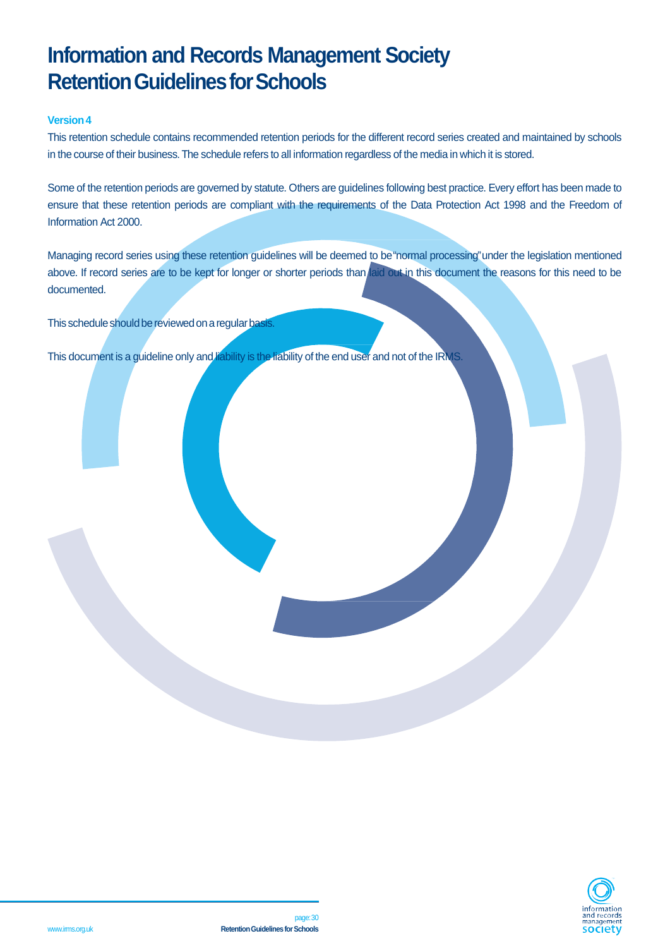### **Information and Records Management Society Retention Guidelines for Schools**

#### **Version4**

This retention schedule contains recommended retention periods for the different record series created and maintained by schools in the course of their business.The schedule refers to all information regardless of the media in which it is stored.

Some of the retention periods are governed by statute. Others are guidelines following best practice. Every effort has been made to ensure that these retention periods are compliant with the requirements of the Data Protection Act 1998 and the Freedom of Information Act 2000.

Managing record series using these retention guidelines will be deemed to be"normal processing"under the legislation mentioned above. If record series are to be kept for longer or shorter periods than aid out in this document the reasons for this need to be documented.

This schedule should be reviewed on a regular basis.

This document is a guideline only and liability is the liability of the end user and not of the IRMS.

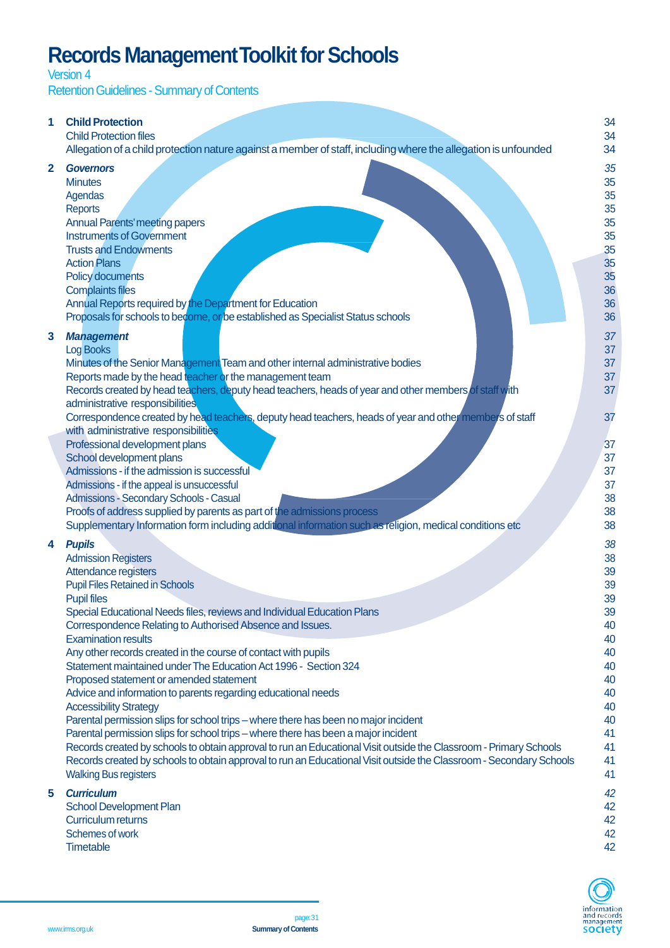# **Records Management Toolkit for Schools**

Version 4

Retention Guidelines - Summary of Contents

| 1                       | <b>Child Protection</b><br><b>Child Protection files</b><br>Allegation of a child protection nature against a member of staff, including where the allegation is unfounded | 34<br>34<br>34 |
|-------------------------|----------------------------------------------------------------------------------------------------------------------------------------------------------------------------|----------------|
|                         |                                                                                                                                                                            |                |
| $\overline{\mathbf{2}}$ | <b>Governors</b>                                                                                                                                                           | 35             |
|                         | <b>Minutes</b>                                                                                                                                                             | 35             |
|                         | Agendas                                                                                                                                                                    | 35             |
|                         | <b>Reports</b><br>Annual Parents' meeting papers                                                                                                                           | 35<br>35       |
|                         | <b>Instruments of Government</b>                                                                                                                                           | 35             |
|                         | <b>Trusts and Endowments</b>                                                                                                                                               | 35             |
|                         | <b>Action Plans</b>                                                                                                                                                        | 35             |
|                         | Policy documents                                                                                                                                                           | 35             |
|                         | <b>Complaints files</b>                                                                                                                                                    | 36             |
|                         | Annual Reports required by the Department for Education                                                                                                                    | 36             |
|                         | Proposals for schools to become, or be established as Specialist Status schools                                                                                            | 36             |
| 3                       | <b>Management</b>                                                                                                                                                          | 37             |
|                         | <b>Log Books</b>                                                                                                                                                           | 37             |
|                         | Minutes of the Senior Management Team and other internal administrative bodies                                                                                             | 37             |
|                         | Reports made by the head teacher or the management team                                                                                                                    | 37             |
|                         | Records created by head teachers, deputy head teachers, heads of year and other members of staff with                                                                      | 37             |
|                         | administrative responsibilities                                                                                                                                            |                |
|                         | Correspondence created by head teachers, deputy head teachers, heads of year and other members of staff                                                                    | 37             |
|                         | with administrative responsibilities                                                                                                                                       |                |
|                         | Professional development plans                                                                                                                                             | 37             |
|                         | School development plans                                                                                                                                                   | 37             |
|                         | Admissions - if the admission is successful                                                                                                                                | 37             |
|                         | Admissions - if the appeal is unsuccessful                                                                                                                                 | 37             |
|                         | Admissions - Secondary Schools - Casual                                                                                                                                    | 38             |
|                         | Proofs of address supplied by parents as part of the admissions process                                                                                                    | 38             |
|                         | Supplementary Information form including additional information such as religion, medical conditions etc                                                                   | 38             |
| 4                       | <b>Pupils</b>                                                                                                                                                              | 38             |
|                         | <b>Admission Registers</b>                                                                                                                                                 | 38             |
|                         | Attendance registers                                                                                                                                                       | 39             |
|                         | <b>Pupil Files Retained in Schools</b>                                                                                                                                     | 39<br>39       |
|                         | <b>Pupil files</b><br>Special Educational Needs files, reviews and Individual Education Plans                                                                              | 39             |
|                         | Correspondence Relating to Authorised Absence and Issues.                                                                                                                  | 40             |
|                         | <b>Examination results</b>                                                                                                                                                 | 40             |
|                         | Any other records created in the course of contact with pupils                                                                                                             | 40             |
|                         | Statement maintained under The Education Act 1996 - Section 324                                                                                                            | 40             |
|                         | Proposed statement or amended statement                                                                                                                                    | 40             |
|                         | Advice and information to parents regarding educational needs                                                                                                              | 40             |
|                         | <b>Accessibility Strategy</b>                                                                                                                                              | 40             |
|                         | Parental permission slips for school trips - where there has been no major incident                                                                                        | 40             |
|                         | Parental permission slips for school trips – where there has been a major incident                                                                                         | 41             |
|                         | Records created by schools to obtain approval to run an Educational Visit outside the Classroom - Primary Schools                                                          | 41             |
|                         | Records created by schools to obtain approval to run an Educational Visit outside the Classroom - Secondary Schools                                                        | 41             |
|                         | <b>Walking Bus registers</b>                                                                                                                                               | 41             |
| 5                       | <b>Curriculum</b>                                                                                                                                                          | 42             |
|                         | <b>School Development Plan</b>                                                                                                                                             | 42             |
|                         | <b>Curriculum returns</b>                                                                                                                                                  | 42             |
|                         | Schemes of work                                                                                                                                                            | 42             |
|                         | Timetable                                                                                                                                                                  | 42             |

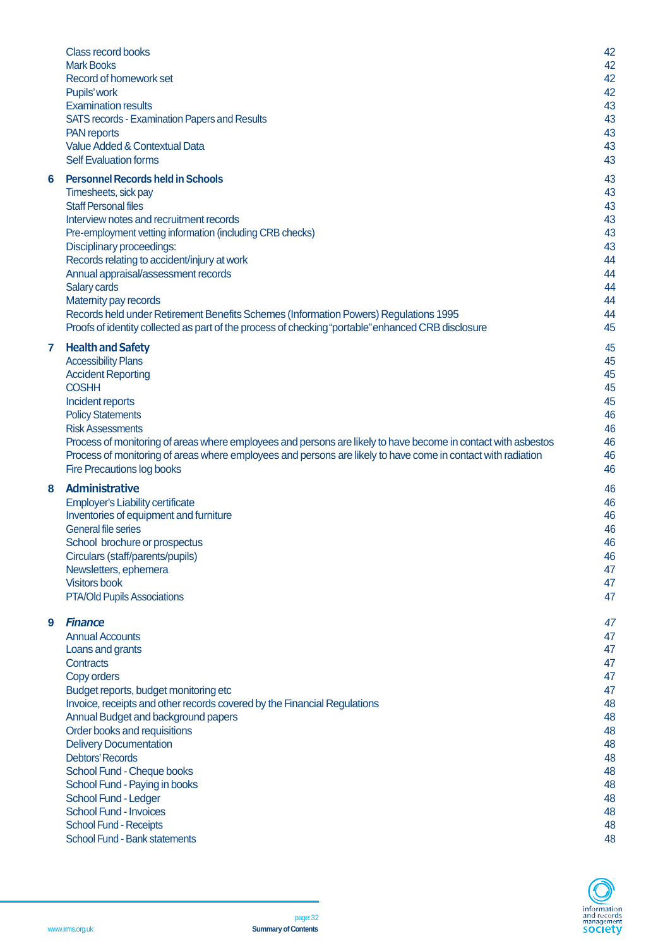| <b>Examination results</b><br>SATS records - Examination Papers and Results                                                                                                                                                                                                                                                                                                                                                                               |                                                                            |
|-----------------------------------------------------------------------------------------------------------------------------------------------------------------------------------------------------------------------------------------------------------------------------------------------------------------------------------------------------------------------------------------------------------------------------------------------------------|----------------------------------------------------------------------------|
| <b>PAN</b> reports<br>Value Added & Contextual Data<br><b>Self Evaluation forms</b>                                                                                                                                                                                                                                                                                                                                                                       | 43<br>43<br>43                                                             |
| <b>Personnel Records held in Schools</b><br>6<br>Timesheets, sick pay<br><b>Staff Personal files</b><br>Interview notes and recruitment records                                                                                                                                                                                                                                                                                                           | 43<br>43<br>43<br>43                                                       |
| Pre-employment vetting information (including CRB checks)<br>Disciplinary proceedings:<br>Records relating to accident/injury at work<br>Annual appraisal/assessment records<br>Salary cards                                                                                                                                                                                                                                                              | 43<br>43<br>44<br>44<br>44                                                 |
| Maternity pay records<br>Records held under Retirement Benefits Schemes (Information Powers) Regulations 1995<br>Proofs of identity collected as part of the process of checking "portable" enhanced CRB disclosure                                                                                                                                                                                                                                       | 44<br>44<br>45                                                             |
| 7<br><b>Health and Safety</b><br><b>Accessibility Plans</b><br><b>Accident Reporting</b><br><b>COSHH</b><br>Incident reports<br><b>Policy Statements</b><br><b>Risk Assessments</b><br>Process of monitoring of areas where employees and persons are likely to have become in contact with asbestos<br>Process of monitoring of areas where employees and persons are likely to have come in contact with radiation<br><b>Fire Precautions log books</b> | 45<br>45<br>45<br>45<br>45<br>46<br>46<br>46<br>46<br>46                   |
| Administrative<br>8<br><b>Employer's Liability certificate</b><br>Inventories of equipment and furniture<br>General file series<br>School brochure or prospectus<br>Circulars (staff/parents/pupils)<br>Newsletters, ephemera<br><b>Visitors book</b><br>PTA/Old Pupils Associations                                                                                                                                                                      | 46<br>46<br>46<br>46<br>46<br>46<br>47<br>47<br>47                         |
| 9<br><b>Finance</b><br><b>Annual Accounts</b><br>Loans and grants<br>Contracts<br>Copy orders<br>Budget reports, budget monitoring etc<br>Invoice, receipts and other records covered by the Financial Regulations<br>Annual Budget and background papers<br>Order books and requisitions<br><b>Delivery Documentation</b><br><b>Debtors' Records</b><br>School Fund - Cheque books<br>School Fund - Paying in books                                      | 47<br>47<br>47<br>47<br>47<br>47<br>48<br>48<br>48<br>48<br>48<br>48<br>48 |
| School Fund - Ledger<br><b>School Fund - Invoices</b><br><b>School Fund - Receipts</b><br>School Fund - Bank statements                                                                                                                                                                                                                                                                                                                                   | 48<br>48<br>48<br>48                                                       |

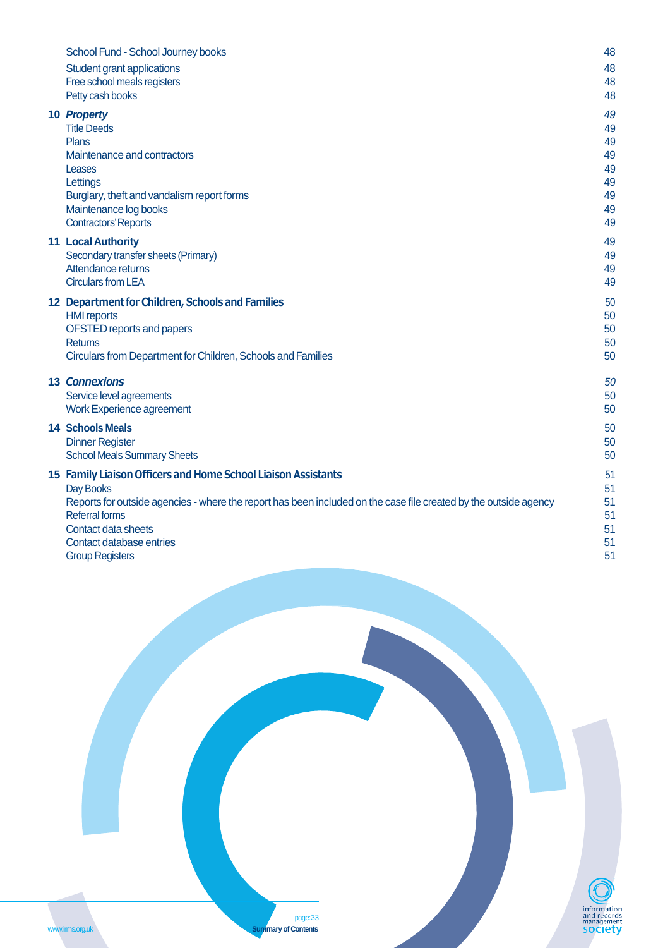| School Fund - School Journey books                                                                                                                                                                                                                                                                   | 48                                                                         |
|------------------------------------------------------------------------------------------------------------------------------------------------------------------------------------------------------------------------------------------------------------------------------------------------------|----------------------------------------------------------------------------|
| Student grant applications<br>Free school meals registers<br>Petty cash books                                                                                                                                                                                                                        | 48<br>48<br>48                                                             |
| 10 Property<br><b>Title Deeds</b><br>Plans<br>Maintenance and contractors<br>Leases<br>Lettings<br>Burglary, theft and vandalism report forms<br>Maintenance log books<br><b>Contractors' Reports</b>                                                                                                | 49<br>49<br>49<br>49<br>4 <sup>C</sup><br>49<br>49<br>49<br>4 <sup>C</sup> |
| <b>11 Local Authority</b><br>Secondary transfer sheets (Primary)<br>Attendance returns<br><b>Circulars from LEA</b>                                                                                                                                                                                  | 49<br>49<br>49<br>4 <sup>C</sup>                                           |
| 12 Department for Children, Schools and Families<br><b>HMI</b> reports<br>OFSTED reports and papers<br><b>Returns</b><br>Circulars from Department for Children, Schools and Families                                                                                                                | 50<br>50<br>50<br>50<br>50                                                 |
| <b>13 Connexions</b><br>Service level agreements<br><b>Work Experience agreement</b>                                                                                                                                                                                                                 | 50<br>50<br>50                                                             |
| <b>14 Schools Meals</b><br><b>Dinner Register</b><br><b>School Meals Summary Sheets</b>                                                                                                                                                                                                              | 50<br>50<br>50                                                             |
| 15 Family Liaison Officers and Home School Liaison Assistants<br>Day Books<br>Reports for outside agencies - where the report has been included on the case file created by the outside agency<br><b>Referral forms</b><br>Contact data sheets<br>Contact database entries<br><b>Group Registers</b> | 51<br>51<br>51<br>51<br>51<br>51<br>51                                     |

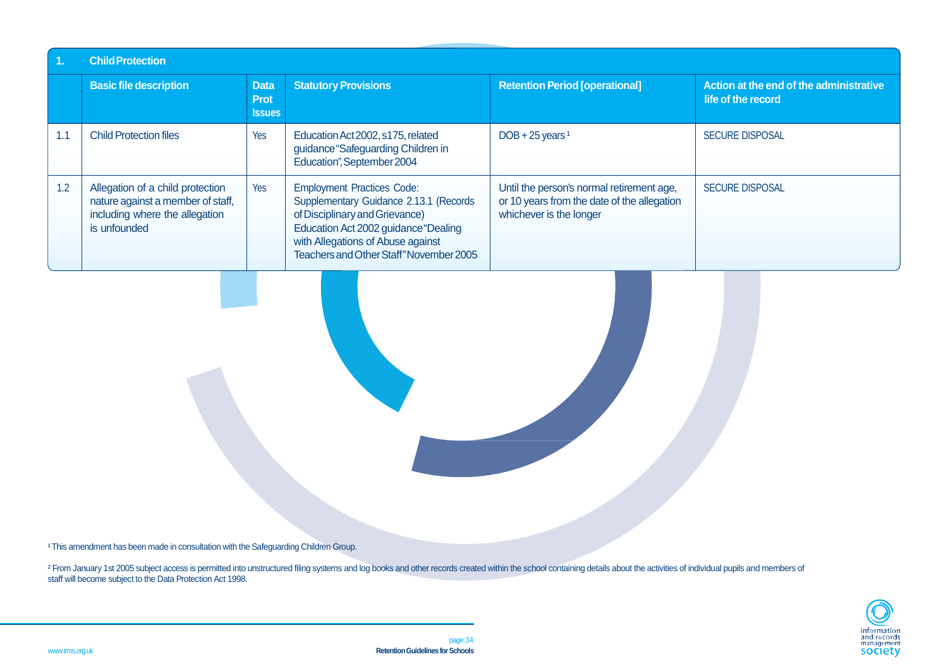|     | <b>Child Protection</b>                                                                                                 |                                             |                                                                                                                                                                                                                                       |                                                                                                                     |                                                               |  |
|-----|-------------------------------------------------------------------------------------------------------------------------|---------------------------------------------|---------------------------------------------------------------------------------------------------------------------------------------------------------------------------------------------------------------------------------------|---------------------------------------------------------------------------------------------------------------------|---------------------------------------------------------------|--|
|     | <b>Basic file description</b>                                                                                           | <b>Data</b><br><b>Prot</b><br><b>Issues</b> | <b>Statutory Provisions</b>                                                                                                                                                                                                           | <b>Retention Period [operational]</b>                                                                               | Action at the end of the administrative<br>life of the record |  |
| 1.1 | <b>Child Protection files</b>                                                                                           | Yes                                         | Education Act 2002, s175, related<br>guidance "Safeguarding Children in<br>Education", September 2004                                                                                                                                 | $DOB + 25$ years <sup>1</sup>                                                                                       | <b>SECURE DISPOSAL</b>                                        |  |
| 1.2 | Allegation of a child protection<br>nature against a member of staff,<br>including where the allegation<br>is unfounded | Yes                                         | <b>Employment Practices Code:</b><br>Supplementary Guidance 2.13.1 (Records<br>of Disciplinary and Grievance)<br>Education Act 2002 guidance "Dealing<br>with Allegations of Abuse against<br>Teachers and Other Staff" November 2005 | Until the person's normal retirement age,<br>or 10 years from the date of the allegation<br>whichever is the longer | <b>SECURE DISPOSAL</b>                                        |  |

<span id="page-4-0"></span><sup>1</sup>This amendment has been made in consultation with the Safeguarding Children Group.

<sup>2</sup> From January 1st 2005 subject access is permitted into unstructured filing systems and log books and other records created within the school containing details about the activities of individual pupils and members of staff will become subject to the Data Protection Act 1998.

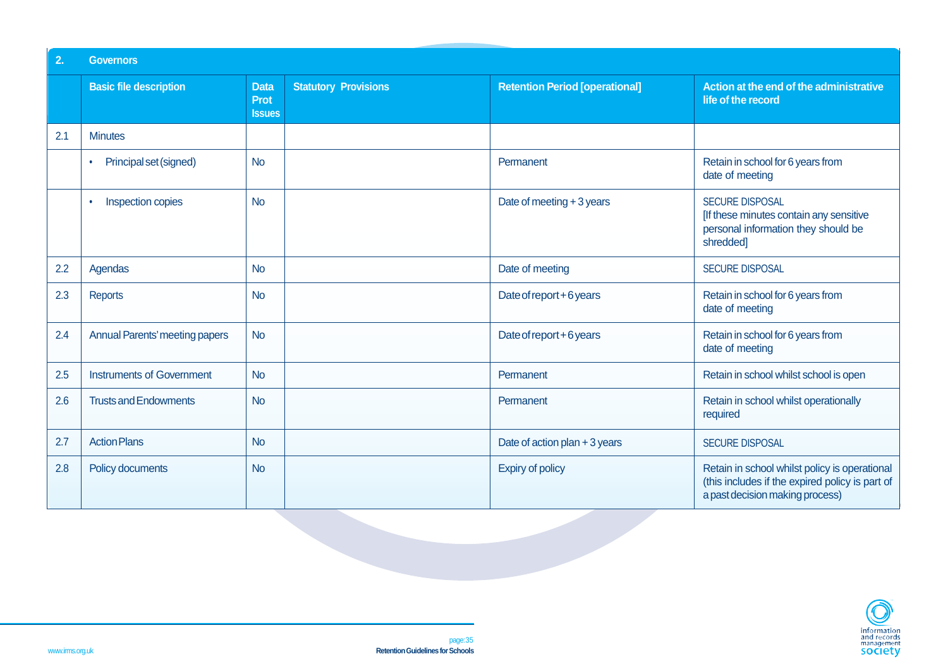<span id="page-5-0"></span>

| 2.  | <b>Governors</b>                    |                                             |                             |                                       |                                                                                                                                     |  |
|-----|-------------------------------------|---------------------------------------------|-----------------------------|---------------------------------------|-------------------------------------------------------------------------------------------------------------------------------------|--|
|     | <b>Basic file description</b>       | <b>Data</b><br><b>Prot</b><br><b>Issues</b> | <b>Statutory Provisions</b> | <b>Retention Period [operational]</b> | Action at the end of the administrative<br>life of the record                                                                       |  |
| 2.1 | <b>Minutes</b>                      |                                             |                             |                                       |                                                                                                                                     |  |
|     | Principal set (signed)<br>$\bullet$ | <b>No</b>                                   |                             | Permanent                             | Retain in school for 6 years from<br>date of meeting                                                                                |  |
|     | Inspection copies<br>$\bullet$      | <b>No</b>                                   |                             | Date of meeting + 3 years             | <b>SECURE DISPOSAL</b><br>[If these minutes contain any sensitive<br>personal information they should be<br>shredded]               |  |
| 2.2 | Agendas                             | <b>No</b>                                   |                             | Date of meeting                       | <b>SECURE DISPOSAL</b>                                                                                                              |  |
| 2.3 | <b>Reports</b>                      | <b>No</b>                                   |                             | Date of report + 6 years              | Retain in school for 6 years from<br>date of meeting                                                                                |  |
| 2.4 | Annual Parents' meeting papers      | <b>No</b>                                   |                             | Date of report + 6 years              | Retain in school for 6 years from<br>date of meeting                                                                                |  |
| 2.5 | <b>Instruments of Government</b>    | <b>No</b>                                   |                             | Permanent                             | Retain in school whilst school is open                                                                                              |  |
| 2.6 | <b>Trusts and Endowments</b>        | <b>No</b>                                   |                             | Permanent                             | Retain in school whilst operationally<br>required                                                                                   |  |
| 2.7 | <b>Action Plans</b>                 | <b>No</b>                                   |                             | Date of action plan + 3 years         | <b>SECURE DISPOSAL</b>                                                                                                              |  |
| 2.8 | Policy documents                    | <b>No</b>                                   |                             | <b>Expiry of policy</b>               | Retain in school whilst policy is operational<br>(this includes if the expired policy is part of<br>a past decision making process) |  |

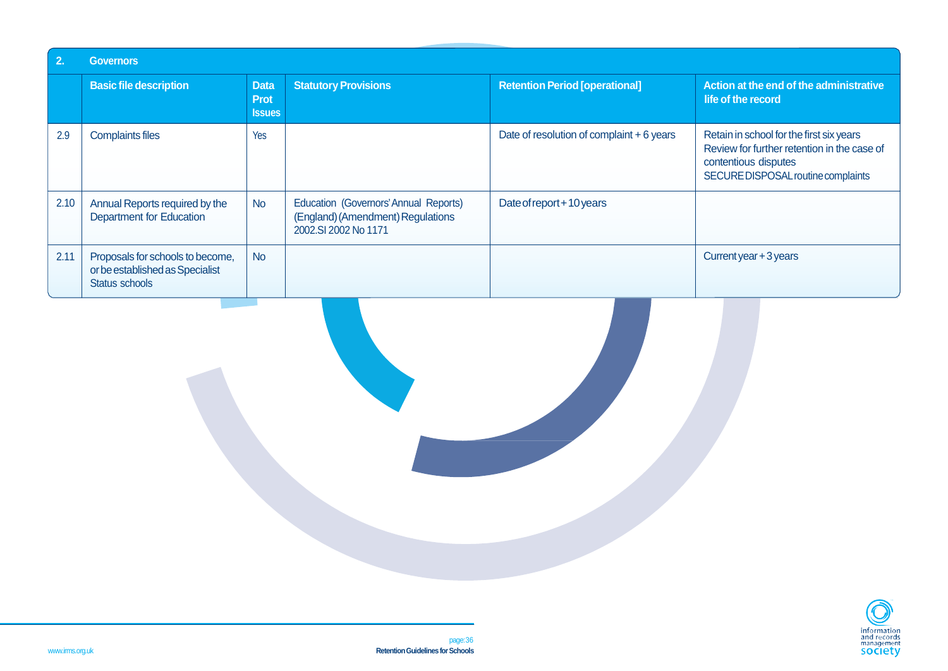<span id="page-6-0"></span>

| $\overline{2}$ . | <b>Governors</b>                                                                      |                                             |                                                                                                    |                                           |                                                                                                                                                       |  |
|------------------|---------------------------------------------------------------------------------------|---------------------------------------------|----------------------------------------------------------------------------------------------------|-------------------------------------------|-------------------------------------------------------------------------------------------------------------------------------------------------------|--|
|                  | <b>Basic file description</b>                                                         | <b>Data</b><br><b>Prot</b><br><b>Issues</b> | <b>Statutory Provisions</b>                                                                        | <b>Retention Period [operational]</b>     | Action at the end of the administrative<br>life of the record                                                                                         |  |
| 2.9              | <b>Complaints files</b>                                                               | <b>Yes</b>                                  |                                                                                                    | Date of resolution of complaint + 6 years | Retain in school for the first six years<br>Review for further retention in the case of<br>contentious disputes<br>SECURE DISPOSAL routine complaints |  |
| 2.10             | Annual Reports required by the<br><b>Department for Education</b>                     | <b>No</b>                                   | Education (Governors' Annual Reports)<br>(England) (Amendment) Regulations<br>2002.SI 2002 No 1171 | Date of report + 10 years                 |                                                                                                                                                       |  |
| 2.11             | Proposals for schools to become,<br>or be established as Specialist<br>Status schools | <b>No</b>                                   |                                                                                                    |                                           | Current year + 3 years                                                                                                                                |  |

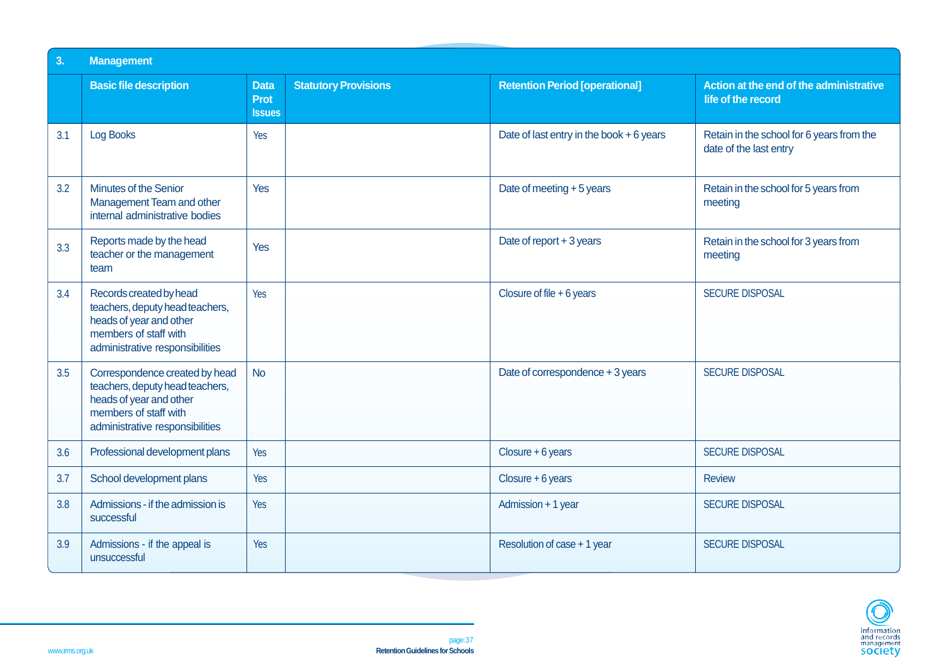<span id="page-7-0"></span>

| 3.  | <b>Management</b>                                                                                                                                        |                                             |                             |                                           |                                                                     |  |
|-----|----------------------------------------------------------------------------------------------------------------------------------------------------------|---------------------------------------------|-----------------------------|-------------------------------------------|---------------------------------------------------------------------|--|
|     | <b>Basic file description</b>                                                                                                                            | <b>Data</b><br><b>Prot</b><br><b>Issues</b> | <b>Statutory Provisions</b> | <b>Retention Period [operational]</b>     | Action at the end of the administrative<br>life of the record       |  |
| 3.1 | Log Books                                                                                                                                                | Yes                                         |                             | Date of last entry in the book $+6$ years | Retain in the school for 6 years from the<br>date of the last entry |  |
| 3.2 | Minutes of the Senior<br>Management Team and other<br>internal administrative bodies                                                                     | <b>Yes</b>                                  |                             | Date of meeting $+5$ years                | Retain in the school for 5 years from<br>meeting                    |  |
| 3.3 | Reports made by the head<br>teacher or the management<br>team                                                                                            | <b>Yes</b>                                  |                             | Date of report + 3 years                  | Retain in the school for 3 years from<br>meeting                    |  |
| 3.4 | Records created by head<br>teachers, deputy head teachers,<br>heads of year and other<br>members of staff with<br>administrative responsibilities        | Yes                                         |                             | Closure of file + 6 years                 | <b>SECURE DISPOSAL</b>                                              |  |
| 3.5 | Correspondence created by head<br>teachers, deputy head teachers,<br>heads of year and other<br>members of staff with<br>administrative responsibilities | <b>No</b>                                   |                             | Date of correspondence + 3 years          | <b>SECURE DISPOSAL</b>                                              |  |
| 3.6 | Professional development plans                                                                                                                           | Yes                                         |                             | Closure + 6 years                         | <b>SECURE DISPOSAL</b>                                              |  |
| 3.7 | School development plans                                                                                                                                 | Yes                                         |                             | Closure + 6 years                         | <b>Review</b>                                                       |  |
| 3.8 | Admissions - if the admission is<br>successful                                                                                                           | Yes                                         |                             | Admission + 1 year                        | <b>SECURE DISPOSAL</b>                                              |  |
| 3.9 | Admissions - if the appeal is<br>unsuccessful                                                                                                            | Yes                                         |                             | Resolution of case + 1 year               | <b>SECURE DISPOSAL</b>                                              |  |

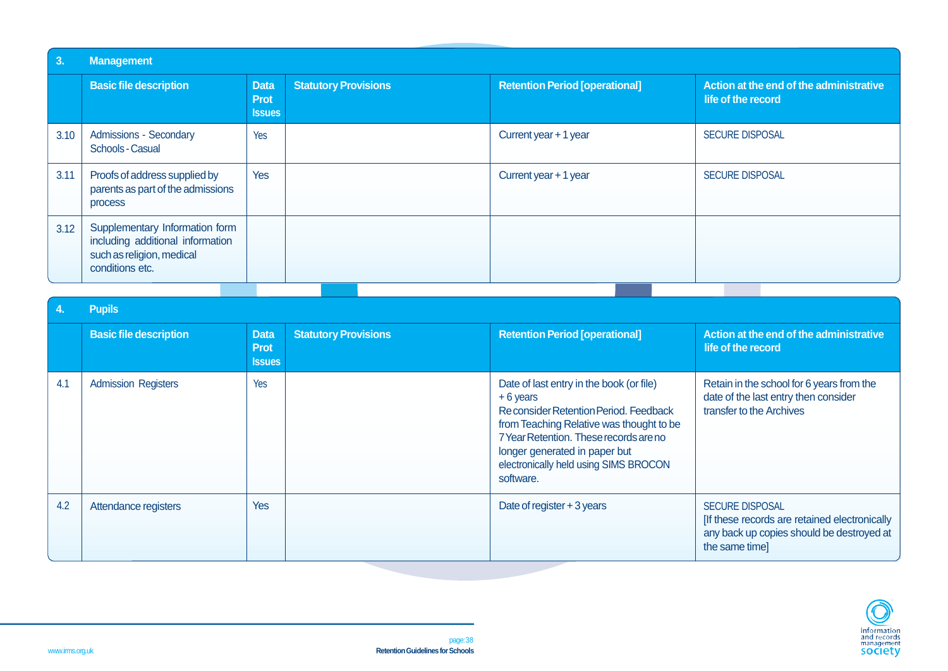| 3.   | <b>Management</b>                                                                                                  |                                             |                             |                                       |                                                               |
|------|--------------------------------------------------------------------------------------------------------------------|---------------------------------------------|-----------------------------|---------------------------------------|---------------------------------------------------------------|
|      | <b>Basic file description</b>                                                                                      | <b>Data</b><br><b>Prot</b><br><b>Issues</b> | <b>Statutory Provisions</b> | <b>Retention Period [operational]</b> | Action at the end of the administrative<br>life of the record |
| 3.10 | <b>Admissions - Secondary</b><br>Schools - Casual                                                                  | Yes                                         |                             | Current year + 1 year                 | <b>SECURE DISPOSAL</b>                                        |
| 3.11 | Proofs of address supplied by<br>parents as part of the admissions<br>process                                      | <b>Yes</b>                                  |                             | Current year + 1 year                 | <b>SECURE DISPOSAL</b>                                        |
| 3.12 | Supplementary Information form<br>including additional information<br>such as religion, medical<br>conditions etc. |                                             |                             |                                       |                                                               |

<span id="page-8-0"></span>

|     | <b>Pupils</b>                 |                                             |                             |                                                                                                                                                                                                                                                                              |                                                                                                                                        |
|-----|-------------------------------|---------------------------------------------|-----------------------------|------------------------------------------------------------------------------------------------------------------------------------------------------------------------------------------------------------------------------------------------------------------------------|----------------------------------------------------------------------------------------------------------------------------------------|
|     | <b>Basic file description</b> | <b>Data</b><br><b>Prot</b><br><b>Issues</b> | <b>Statutory Provisions</b> | <b>Retention Period [operational]</b>                                                                                                                                                                                                                                        | Action at the end of the administrative<br>life of the record                                                                          |
| 4.1 | <b>Admission Registers</b>    | Yes                                         |                             | Date of last entry in the book (or file)<br>$+6$ years<br>Reconsider Retention Period. Feedback<br>from Teaching Relative was thought to be<br>7 Year Retention. These records are no<br>longer generated in paper but<br>electronically held using SIMS BROCON<br>software. | Retain in the school for 6 years from the<br>date of the last entry then consider<br>transfer to the Archives                          |
| 4.2 | Attendance registers          | Yes                                         |                             | Date of register $+3$ years                                                                                                                                                                                                                                                  | <b>SECURE DISPOSAL</b><br>[If these records are retained electronically<br>any back up copies should be destroyed at<br>the same time] |

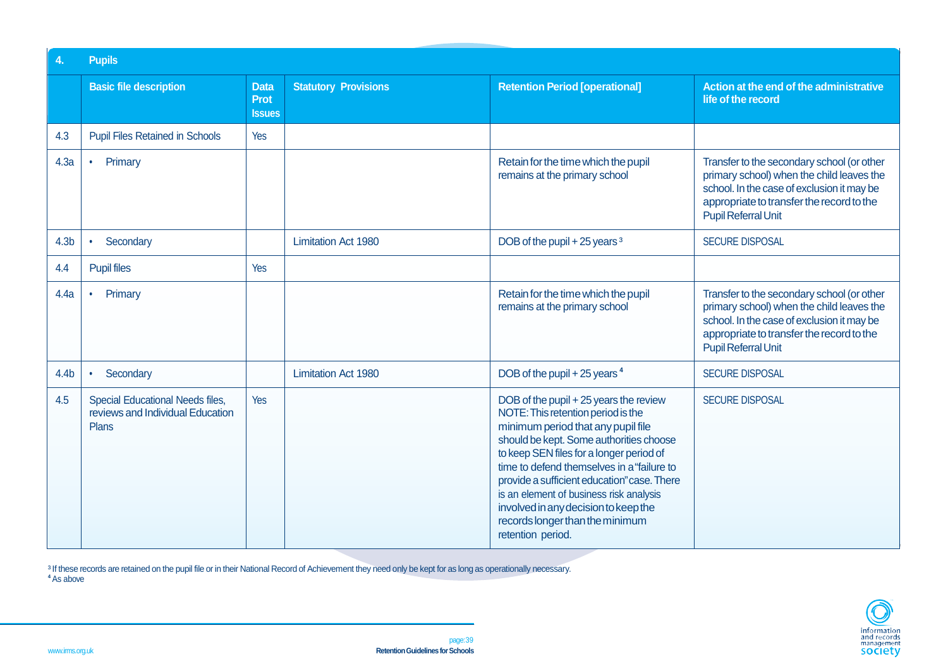| -4.              | <b>Pupils</b>                                                                               |                                             |                             |                                                                                                                                                                                                                                                                                                                                                                                                                                                   |                                                                                                                                                                                                                  |
|------------------|---------------------------------------------------------------------------------------------|---------------------------------------------|-----------------------------|---------------------------------------------------------------------------------------------------------------------------------------------------------------------------------------------------------------------------------------------------------------------------------------------------------------------------------------------------------------------------------------------------------------------------------------------------|------------------------------------------------------------------------------------------------------------------------------------------------------------------------------------------------------------------|
|                  | <b>Basic file description</b>                                                               | <b>Data</b><br><b>Prot</b><br><b>Issues</b> | <b>Statutory Provisions</b> | <b>Retention Period [operational]</b>                                                                                                                                                                                                                                                                                                                                                                                                             | Action at the end of the administrative<br>life of the record                                                                                                                                                    |
| 4.3              | <b>Pupil Files Retained in Schools</b>                                                      | Yes                                         |                             |                                                                                                                                                                                                                                                                                                                                                                                                                                                   |                                                                                                                                                                                                                  |
| 4.3a             | Primary<br>$\bullet$                                                                        |                                             |                             | Retain for the time which the pupil<br>remains at the primary school                                                                                                                                                                                                                                                                                                                                                                              | Transfer to the secondary school (or other<br>primary school) when the child leaves the<br>school. In the case of exclusion it may be<br>appropriate to transfer the record to the<br><b>Pupil Referral Unit</b> |
| 4.3 <sub>b</sub> | Secondary                                                                                   |                                             | <b>Limitation Act 1980</b>  | DOB of the pupil $+25$ years $3$                                                                                                                                                                                                                                                                                                                                                                                                                  | <b>SECURE DISPOSAL</b>                                                                                                                                                                                           |
| 4.4              | <b>Pupil files</b>                                                                          | Yes                                         |                             |                                                                                                                                                                                                                                                                                                                                                                                                                                                   |                                                                                                                                                                                                                  |
| 4.4a             | Primary<br>$\bullet$                                                                        |                                             |                             | Retain for the time which the pupil<br>remains at the primary school                                                                                                                                                                                                                                                                                                                                                                              | Transfer to the secondary school (or other<br>primary school) when the child leaves the<br>school. In the case of exclusion it may be<br>appropriate to transfer the record to the<br><b>Pupil Referral Unit</b> |
| 4.4 <sub>b</sub> | Secondary<br>$\bullet$                                                                      |                                             | <b>Limitation Act 1980</b>  | DOB of the pupil + 25 years $4$                                                                                                                                                                                                                                                                                                                                                                                                                   | <b>SECURE DISPOSAL</b>                                                                                                                                                                                           |
| 4.5              | <b>Special Educational Needs files,</b><br>reviews and Individual Education<br><b>Plans</b> | Yes                                         |                             | DOB of the pupil + 25 years the review<br>NOTE: This retention period is the<br>minimum period that any pupil file<br>should be kept. Some authorities choose<br>to keep SEN files for a longer period of<br>time to defend themselves in a "failure to<br>provide a sufficient education" case. There<br>is an element of business risk analysis<br>involved in any decision to keep the<br>records longer than the minimum<br>retention period. | <b>SECURE DISPOSAL</b>                                                                                                                                                                                           |

<span id="page-9-0"></span><sup>3</sup> If these records are retained on the pupil file or in their National Record of Achievement they need only be kept for as long as operationally necessary. **<sup>4</sup>** As above

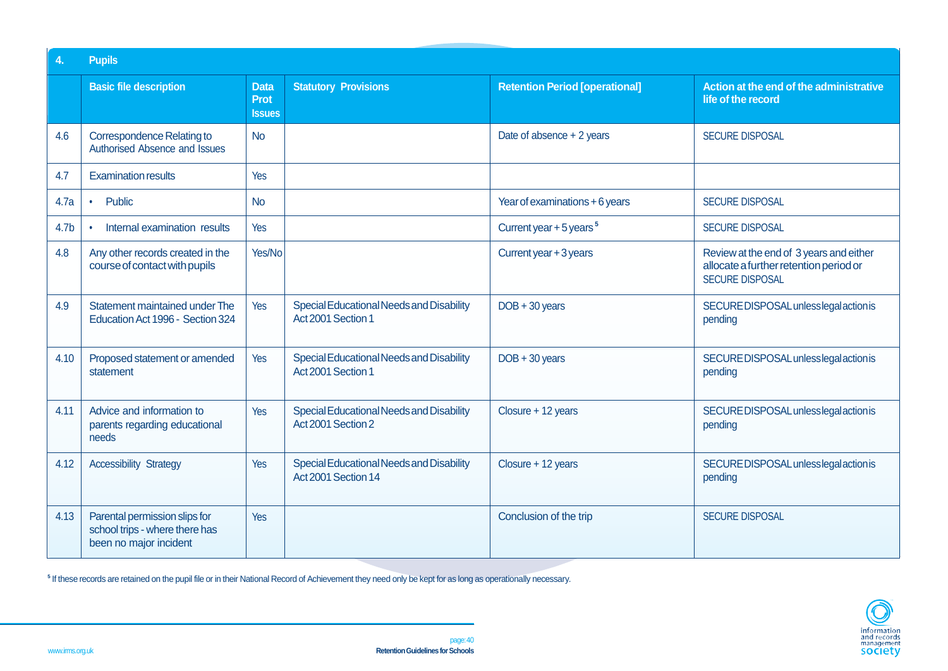| -4.              | <b>Pupils</b>                                                                             |                                             |                                                                 |                                       |                                                                                                             |  |
|------------------|-------------------------------------------------------------------------------------------|---------------------------------------------|-----------------------------------------------------------------|---------------------------------------|-------------------------------------------------------------------------------------------------------------|--|
|                  | <b>Basic file description</b>                                                             | <b>Data</b><br><b>Prot</b><br><b>Issues</b> | <b>Statutory Provisions</b>                                     | <b>Retention Period [operational]</b> | Action at the end of the administrative<br>life of the record                                               |  |
| 4.6              | Correspondence Relating to<br>Authorised Absence and Issues                               | <b>No</b>                                   |                                                                 | Date of absence + 2 years             | <b>SECURE DISPOSAL</b>                                                                                      |  |
| 4.7              | <b>Examination results</b>                                                                | <b>Yes</b>                                  |                                                                 |                                       |                                                                                                             |  |
| 4.7a             | Public<br>$\bullet$                                                                       | <b>No</b>                                   |                                                                 | Year of examinations + 6 years        | <b>SECURE DISPOSAL</b>                                                                                      |  |
| 4.7 <sub>b</sub> | Internal examination results                                                              | Yes                                         |                                                                 | Current year $+5$ years <sup>5</sup>  | <b>SECURE DISPOSAL</b>                                                                                      |  |
| 4.8              | Any other records created in the<br>course of contact with pupils                         | Yes/No                                      |                                                                 | Current year + 3 years                | Review at the end of 3 years and either<br>allocate a further retention period or<br><b>SECURE DISPOSAL</b> |  |
| 4.9              | Statement maintained under The<br>Education Act 1996 - Section 324                        | Yes                                         | Special Educational Needs and Disability<br>Act 2001 Section 1  | $DOB + 30$ years                      | SECURE DISPOSAL unless legal action is<br>pending                                                           |  |
| 4.10             | Proposed statement or amended<br>statement                                                | Yes                                         | Special Educational Needs and Disability<br>Act 2001 Section 1  | $DOB + 30$ years                      | SECURE DISPOSAL unless legal action is<br>pending                                                           |  |
| 4.11             | Advice and information to<br>parents regarding educational<br>needs                       | Yes                                         | Special Educational Needs and Disability<br>Act 2001 Section 2  | Closure + 12 years                    | SECURE DISPOSAL unless legal action is<br>pending                                                           |  |
| 4.12             | <b>Accessibility Strategy</b>                                                             | <b>Yes</b>                                  | Special Educational Needs and Disability<br>Act 2001 Section 14 | Closure + 12 years                    | SECURE DISPOSAL unless legal action is<br>pending                                                           |  |
| 4.13             | Parental permission slips for<br>school trips - where there has<br>been no major incident | Yes                                         |                                                                 | Conclusion of the trip                | <b>SECURE DISPOSAL</b>                                                                                      |  |

<span id="page-10-0"></span><sup>5</sup> If these records are retained on the pupil file or in their National Record of Achievement they need only be kept for as long as operationally necessary.

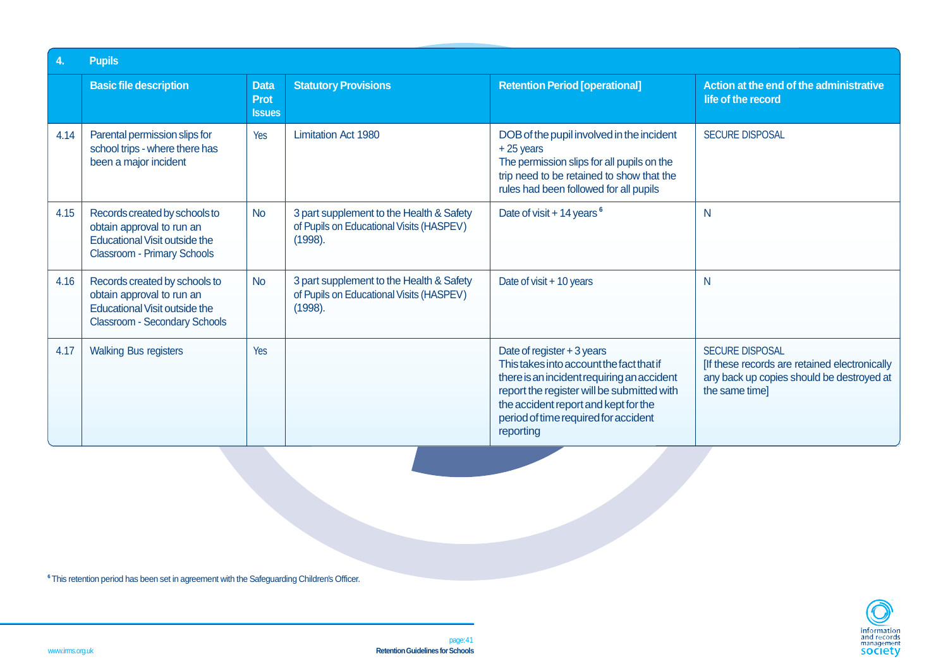| -4.  | <b>Pupils</b>                                                                                                                       |                                             |                                                                                                 |                                                                                                                                                                                                                                                                  |                                                                                                                                        |  |
|------|-------------------------------------------------------------------------------------------------------------------------------------|---------------------------------------------|-------------------------------------------------------------------------------------------------|------------------------------------------------------------------------------------------------------------------------------------------------------------------------------------------------------------------------------------------------------------------|----------------------------------------------------------------------------------------------------------------------------------------|--|
|      | <b>Basic file description</b>                                                                                                       | <b>Data</b><br><b>Prot</b><br><b>Issues</b> | <b>Statutory Provisions</b>                                                                     | <b>Retention Period [operational]</b>                                                                                                                                                                                                                            | Action at the end of the administrative<br>life of the record                                                                          |  |
| 4.14 | Parental permission slips for<br>school trips - where there has<br>been a major incident                                            | Yes                                         | <b>Limitation Act 1980</b>                                                                      | DOB of the pupil involved in the incident<br>$+25$ years<br>The permission slips for all pupils on the<br>trip need to be retained to show that the<br>rules had been followed for all pupils                                                                    | <b>SECURE DISPOSAL</b>                                                                                                                 |  |
| 4.15 | Records created by schools to<br>obtain approval to run an<br>Educational Visit outside the<br><b>Classroom - Primary Schools</b>   | <b>No</b>                                   | 3 part supplement to the Health & Safety<br>of Pupils on Educational Visits (HASPEV)<br>(1998). | Date of visit $+14$ years $6$                                                                                                                                                                                                                                    | N                                                                                                                                      |  |
| 4.16 | Records created by schools to<br>obtain approval to run an<br>Educational Visit outside the<br><b>Classroom - Secondary Schools</b> | <b>No</b>                                   | 3 part supplement to the Health & Safety<br>of Pupils on Educational Visits (HASPEV)<br>(1998). | Date of visit + 10 years                                                                                                                                                                                                                                         | $\mathsf{N}$                                                                                                                           |  |
| 4.17 | <b>Walking Bus registers</b>                                                                                                        | Yes                                         |                                                                                                 | Date of register $+3$ years<br>This takes into account the fact that if<br>there is an incident requiring an accident<br>report the register will be submitted with<br>the accident report and kept for the<br>period of time required for accident<br>reporting | <b>SECURE DISPOSAL</b><br>[If these records are retained electronically<br>any back up copies should be destroyed at<br>the same time] |  |

<span id="page-11-0"></span>**<sup>6</sup>**This retention period has been set in agreement with the Safeguarding Children's Officer.



page:41 [www.irms.org.uk](http://www.irms.org.uk/) **Retention Guidelines for Schools Retention Guidelines for Schools**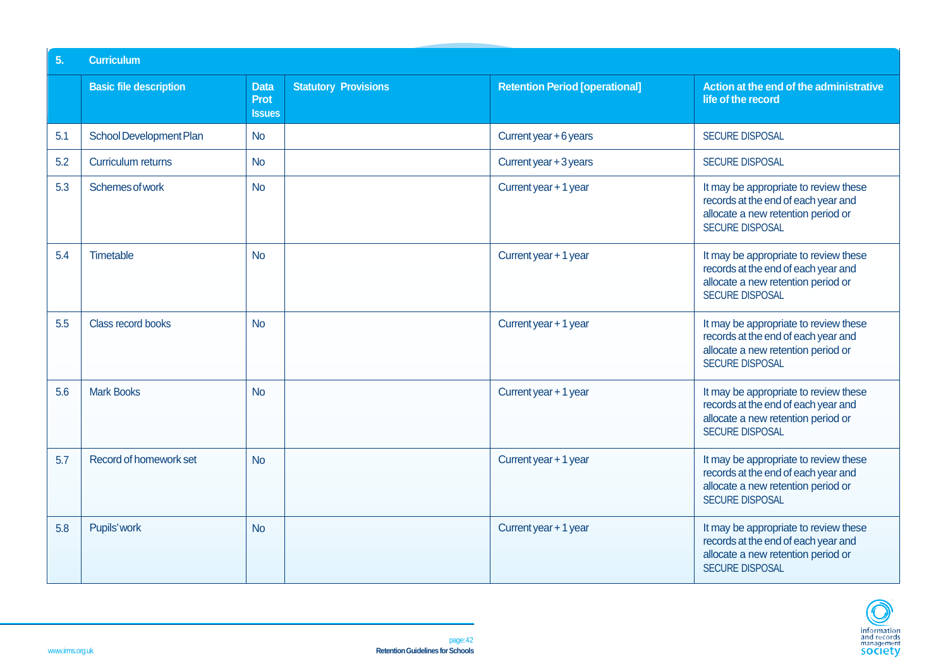<span id="page-12-0"></span>

| 5.  | <b>Curriculum</b>             |                                             |                             |                                       |                                                                                                                                              |  |
|-----|-------------------------------|---------------------------------------------|-----------------------------|---------------------------------------|----------------------------------------------------------------------------------------------------------------------------------------------|--|
|     | <b>Basic file description</b> | <b>Data</b><br><b>Prot</b><br><b>Issues</b> | <b>Statutory Provisions</b> | <b>Retention Period [operational]</b> | Action at the end of the administrative<br>life of the record                                                                                |  |
| 5.1 | School Development Plan       | <b>No</b>                                   |                             | Current year + 6 years                | <b>SECURE DISPOSAL</b>                                                                                                                       |  |
| 5.2 | <b>Curriculum returns</b>     | <b>No</b>                                   |                             | Current year + 3 years                | <b>SECURE DISPOSAL</b>                                                                                                                       |  |
| 5.3 | Schemes of work               | <b>No</b>                                   |                             | Current year + 1 year                 | It may be appropriate to review these<br>records at the end of each year and<br>allocate a new retention period or<br><b>SECURE DISPOSAL</b> |  |
| 5.4 | Timetable                     | <b>No</b>                                   |                             | Current year + 1 year                 | It may be appropriate to review these<br>records at the end of each year and<br>allocate a new retention period or<br><b>SECURE DISPOSAL</b> |  |
| 5.5 | Class record books            | <b>No</b>                                   |                             | Current year + 1 year                 | It may be appropriate to review these<br>records at the end of each year and<br>allocate a new retention period or<br><b>SECURE DISPOSAL</b> |  |
| 5.6 | <b>Mark Books</b>             | <b>No</b>                                   |                             | Current year + 1 year                 | It may be appropriate to review these<br>records at the end of each year and<br>allocate a new retention period or<br><b>SECURE DISPOSAL</b> |  |
| 5.7 | Record of homework set        | <b>No</b>                                   |                             | Current year + 1 year                 | It may be appropriate to review these<br>records at the end of each year and<br>allocate a new retention period or<br><b>SECURE DISPOSAL</b> |  |
| 5.8 | Pupils' work                  | <b>No</b>                                   |                             | Current year + 1 year                 | It may be appropriate to review these<br>records at the end of each year and<br>allocate a new retention period or<br><b>SECURE DISPOSAL</b> |  |

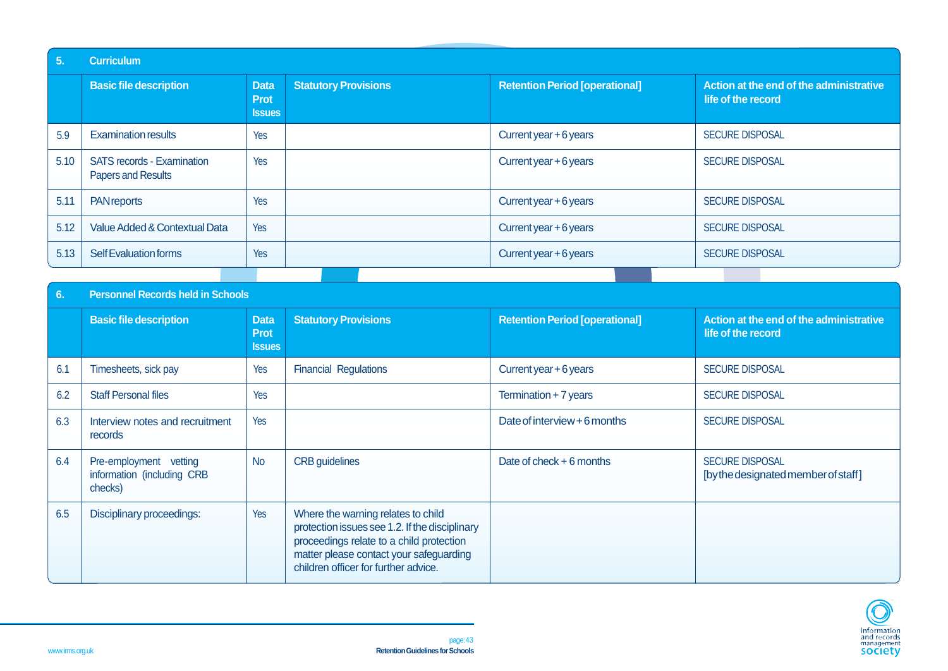| 5.   | <b>Curriculum</b>                                       |                                             |                             |                                       |                                                               |  |
|------|---------------------------------------------------------|---------------------------------------------|-----------------------------|---------------------------------------|---------------------------------------------------------------|--|
|      | <b>Basic file description</b>                           | <b>Data</b><br><b>Prot</b><br><b>Issues</b> | <b>Statutory Provisions</b> | <b>Retention Period [operational]</b> | Action at the end of the administrative<br>life of the record |  |
| 5.9  | <b>Examination results</b>                              | Yes                                         |                             | Current year + 6 years                | <b>SECURE DISPOSAL</b>                                        |  |
| 5.10 | <b>SATS records - Examination</b><br>Papers and Results | Yes                                         |                             | Current year + 6 years                | <b>SECURE DISPOSAL</b>                                        |  |
| 5.11 | <b>PAN</b> reports                                      | Yes                                         |                             | Current year + 6 years                | <b>SECURE DISPOSAL</b>                                        |  |
| 5.12 | Value Added & Contextual Data                           | Yes                                         |                             | Current year + 6 years                | <b>SECURE DISPOSAL</b>                                        |  |
| 5.13 | Self Evaluation forms                                   | Yes                                         |                             | Current year + 6 years                | <b>SECURE DISPOSAL</b>                                        |  |
|      |                                                         |                                             |                             |                                       |                                                               |  |
| 6.   | <b>Personnel Records held in Schools</b>                |                                             |                             |                                       |                                                               |  |
|      | <b>Basic file description</b>                           | <b>Data</b><br><b>Prot</b><br><b>Issues</b> | <b>Statutory Provisions</b> | <b>Retention Period [operational]</b> | Action at the end of the administrative<br>life of the record |  |

<span id="page-13-0"></span>

|     |                                                                 | <b>Prot</b><br><b>Issues</b> |                                                                                                                                                                                                                     |                               | life of the record                                            |
|-----|-----------------------------------------------------------------|------------------------------|---------------------------------------------------------------------------------------------------------------------------------------------------------------------------------------------------------------------|-------------------------------|---------------------------------------------------------------|
| 6.1 | Timesheets, sick pay                                            | <b>Yes</b>                   | <b>Financial Regulations</b>                                                                                                                                                                                        | Current year + 6 years        | <b>SECURE DISPOSAL</b>                                        |
| 6.2 | <b>Staff Personal files</b>                                     | Yes                          |                                                                                                                                                                                                                     | Termination + 7 years         | <b>SECURE DISPOSAL</b>                                        |
| 6.3 | Interview notes and recruitment<br>records                      | Yes                          |                                                                                                                                                                                                                     | Date of interview $+6$ months | <b>SECURE DISPOSAL</b>                                        |
| 6.4 | Pre-employment vetting<br>information (including CRB<br>checks) | <b>No</b>                    | <b>CRB</b> guidelines                                                                                                                                                                                               | Date of check $+6$ months     | <b>SECURE DISPOSAL</b><br>[by the designated member of staff] |
| 6.5 | Disciplinary proceedings:                                       | Yes                          | Where the warning relates to child<br>protection issues see 1.2. If the disciplinary<br>proceedings relate to a child protection<br>matter please contact your safeguarding<br>children officer for further advice. |                               |                                                               |

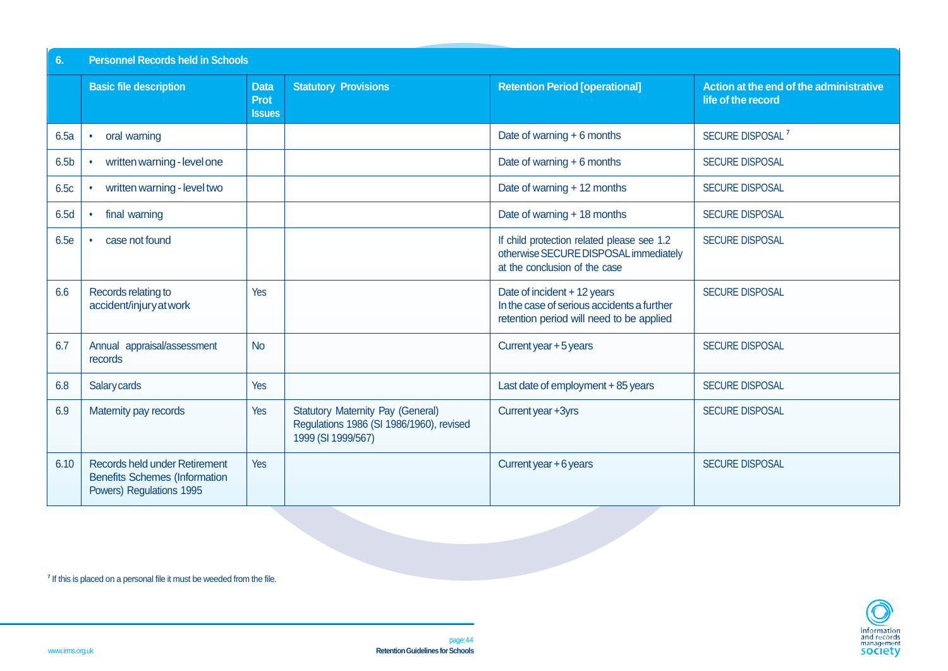| 6.               | <b>Personnel Records held in Schools</b>                                                                 |                                             |                                                                                                            |                                                                                                                       |                                                               |  |
|------------------|----------------------------------------------------------------------------------------------------------|---------------------------------------------|------------------------------------------------------------------------------------------------------------|-----------------------------------------------------------------------------------------------------------------------|---------------------------------------------------------------|--|
|                  | <b>Basic file description</b>                                                                            | <b>Data</b><br><b>Prot</b><br><b>Issues</b> | <b>Statutory Provisions</b>                                                                                | <b>Retention Period [operational]</b>                                                                                 | Action at the end of the administrative<br>life of the record |  |
| 6.5a             | oral warning<br>$\bullet$                                                                                |                                             |                                                                                                            | Date of warning + 6 months                                                                                            | SECURE DISPOSAL <sup>7</sup>                                  |  |
| 6.5 <sub>b</sub> | written warning - level one<br>$\bullet$                                                                 |                                             |                                                                                                            | Date of warning $+ 6$ months                                                                                          | <b>SECURE DISPOSAL</b>                                        |  |
| 6.5c             | written warning - level two<br>$\bullet$                                                                 |                                             |                                                                                                            | Date of warning + 12 months                                                                                           | <b>SECURE DISPOSAL</b>                                        |  |
| 6.5d             | final warning                                                                                            |                                             |                                                                                                            | Date of warning + 18 months                                                                                           | <b>SECURE DISPOSAL</b>                                        |  |
| 6.5e             | case not found<br>$\bullet$                                                                              |                                             |                                                                                                            | If child protection related please see 1.2<br>otherwise SECURE DISPOSAL immediately<br>at the conclusion of the case  | <b>SECURE DISPOSAL</b>                                        |  |
| 6.6              | Records relating to<br>accident/injury at work                                                           | Yes                                         |                                                                                                            | Date of incident + 12 years<br>In the case of serious accidents a further<br>retention period will need to be applied | <b>SECURE DISPOSAL</b>                                        |  |
| 6.7              | Annual appraisal/assessment<br>records                                                                   | <b>No</b>                                   |                                                                                                            | Current year + 5 years                                                                                                | <b>SECURE DISPOSAL</b>                                        |  |
| 6.8              | Salary cards                                                                                             | Yes                                         |                                                                                                            | Last date of employment + 85 years                                                                                    | <b>SECURE DISPOSAL</b>                                        |  |
| 6.9              | Maternity pay records                                                                                    | Yes                                         | <b>Statutory Maternity Pay (General)</b><br>Regulations 1986 (SI 1986/1960), revised<br>1999 (SI 1999/567) | Current year +3yrs                                                                                                    | <b>SECURE DISPOSAL</b>                                        |  |
| 6.10             | <b>Records held under Retirement</b><br><b>Benefits Schemes (Information</b><br>Powers) Regulations 1995 | <b>Yes</b>                                  |                                                                                                            | Current year + 6 years                                                                                                | <b>SECURE DISPOSAL</b>                                        |  |

<span id="page-14-0"></span><sup>7</sup> If this is placed on a personal file it must be weeded from the file.

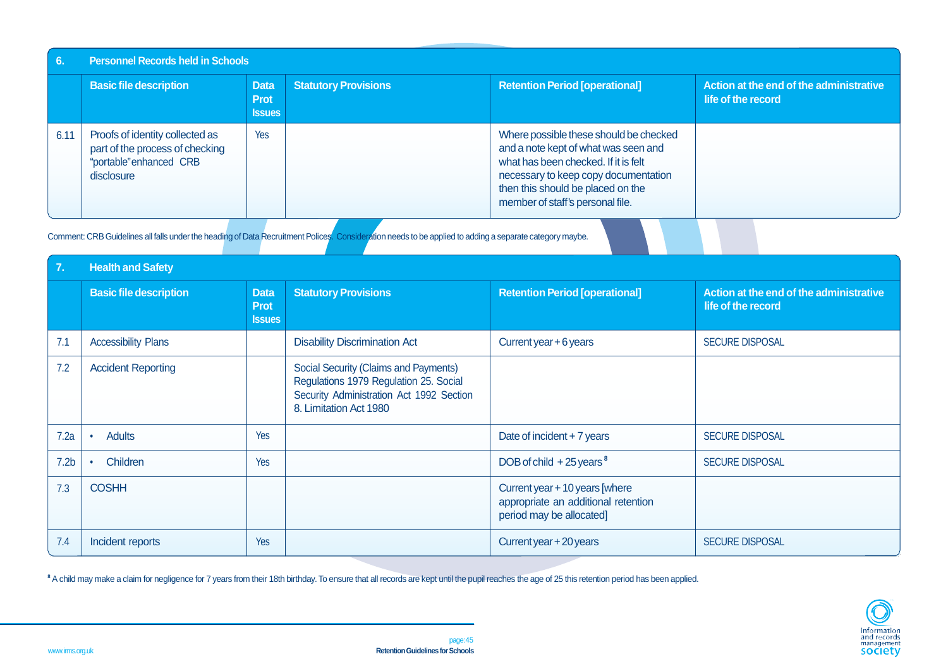| 6.               | <b>Personnel Records held in Schools</b>                                                                    |                                             |                                                                                                                                                         |                                                                                                                                                                                                                                         |                                                               |  |
|------------------|-------------------------------------------------------------------------------------------------------------|---------------------------------------------|---------------------------------------------------------------------------------------------------------------------------------------------------------|-----------------------------------------------------------------------------------------------------------------------------------------------------------------------------------------------------------------------------------------|---------------------------------------------------------------|--|
|                  | <b>Basic file description</b>                                                                               | <b>Data</b><br><b>Prot</b><br><b>Issues</b> | <b>Statutory Provisions</b>                                                                                                                             | <b>Retention Period [operational]</b>                                                                                                                                                                                                   | Action at the end of the administrative<br>life of the record |  |
| 6.11             | Proofs of identity collected as<br>part of the process of checking<br>"portable" enhanced CRB<br>disclosure | Yes                                         |                                                                                                                                                         | Where possible these should be checked<br>and a note kept of what was seen and<br>what has been checked. If it is felt<br>necessary to keep copy documentation<br>then this should be placed on the<br>member of staff's personal file. |                                                               |  |
|                  |                                                                                                             |                                             | Comment: CRB Guidelines all falls under the heading of Data Recruitment Polices. Consideration needs to be applied to adding a separate category maybe. |                                                                                                                                                                                                                                         |                                                               |  |
| 7.               | <b>Health and Safety</b>                                                                                    |                                             |                                                                                                                                                         |                                                                                                                                                                                                                                         |                                                               |  |
|                  | <b>Basic file description</b>                                                                               | <b>Data</b><br><b>Prot</b><br><b>Issues</b> | <b>Statutory Provisions</b>                                                                                                                             | <b>Retention Period [operational]</b>                                                                                                                                                                                                   | Action at the end of the administrative<br>life of the record |  |
| 7.1              | <b>Accessibility Plans</b>                                                                                  |                                             | <b>Disability Discrimination Act</b>                                                                                                                    | Current year + 6 years                                                                                                                                                                                                                  | <b>SECURE DISPOSAL</b>                                        |  |
| 7.2              | <b>Accident Reporting</b>                                                                                   |                                             | Social Security (Claims and Payments)<br>Regulations 1979 Regulation 25. Social<br>Security Administration Act 1992 Section<br>8. Limitation Act 1980   |                                                                                                                                                                                                                                         |                                                               |  |
| 7.2a             | <b>Adults</b><br>$\bullet$                                                                                  | Yes                                         |                                                                                                                                                         | Date of incident + 7 years                                                                                                                                                                                                              | <b>SECURE DISPOSAL</b>                                        |  |
| 7.2 <sub>b</sub> | Children<br>$\bullet$                                                                                       | Yes                                         |                                                                                                                                                         | DOB of child $+25$ years $8$                                                                                                                                                                                                            | <b>SECURE DISPOSAL</b>                                        |  |
| 7.3              | <b>COSHH</b>                                                                                                |                                             |                                                                                                                                                         | Current year + 10 years [where<br>appropriate an additional retention<br>period may be allocated]                                                                                                                                       |                                                               |  |
| 7.4              | Incident reports                                                                                            | Yes                                         |                                                                                                                                                         | Current year + 20 years                                                                                                                                                                                                                 | <b>SECURE DISPOSAL</b>                                        |  |

<span id="page-15-0"></span><sup>8</sup> A child may make a claim for negligence for 7 years from their 18th birthday. To ensure that all records are kept until the pupil reaches the age of 25 this retention period has been applied.

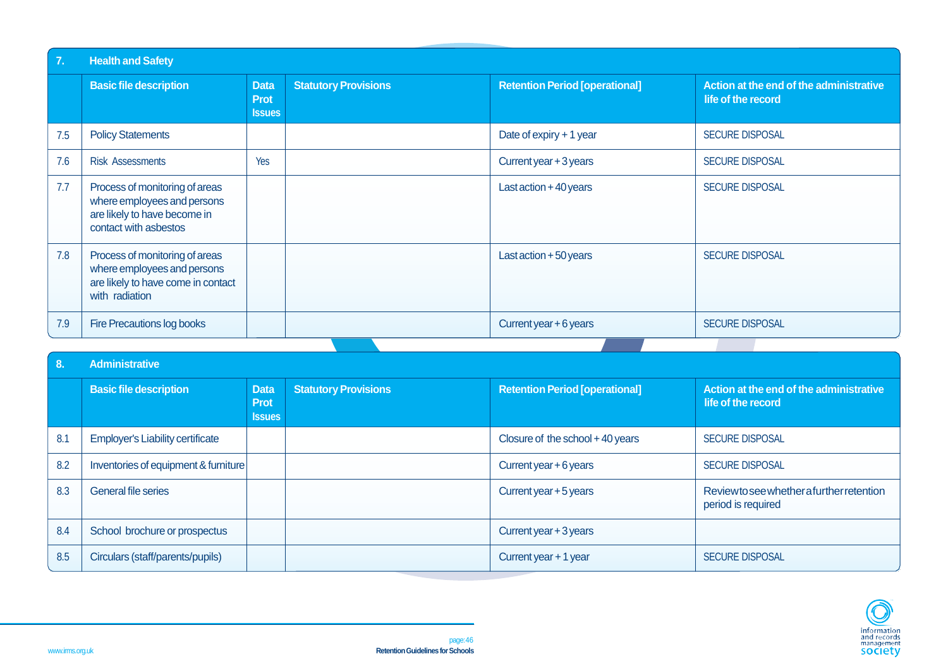| $\overline{7}$ . | <b>Health and Safety</b>                                                                                               |                                             |                             |                                       |                                                               |  |
|------------------|------------------------------------------------------------------------------------------------------------------------|---------------------------------------------|-----------------------------|---------------------------------------|---------------------------------------------------------------|--|
|                  | <b>Basic file description</b>                                                                                          | <b>Data</b><br><b>Prot</b><br><b>Issues</b> | <b>Statutory Provisions</b> | <b>Retention Period [operational]</b> | Action at the end of the administrative<br>life of the record |  |
| 7.5              | <b>Policy Statements</b>                                                                                               |                                             |                             | Date of expiry + 1 year               | <b>SECURE DISPOSAL</b>                                        |  |
| 7.6              | <b>Risk Assessments</b>                                                                                                | Yes                                         |                             | Current year + 3 years                | <b>SECURE DISPOSAL</b>                                        |  |
| 7.7              | Process of monitoring of areas<br>where employees and persons<br>are likely to have become in<br>contact with asbestos |                                             |                             | Last $action + 40 years$              | <b>SECURE DISPOSAL</b>                                        |  |
| 7.8              | Process of monitoring of areas<br>where employees and persons<br>are likely to have come in contact<br>with radiation  |                                             |                             | Last action $+50$ years               | <b>SECURE DISPOSAL</b>                                        |  |
| 7.9              | Fire Precautions log books                                                                                             |                                             |                             | Current year + 6 years                | <b>SECURE DISPOSAL</b>                                        |  |
|                  |                                                                                                                        |                                             |                             |                                       |                                                               |  |

<span id="page-16-0"></span>

| 8.  | <b>Administrative</b>                   |                                             |                             |                                       |                                                                 |  |
|-----|-----------------------------------------|---------------------------------------------|-----------------------------|---------------------------------------|-----------------------------------------------------------------|--|
|     | <b>Basic file description</b>           | <b>Data</b><br><b>Prot</b><br><b>Issues</b> | <b>Statutory Provisions</b> | <b>Retention Period [operational]</b> | Action at the end of the administrative<br>life of the record   |  |
| 8.1 | <b>Employer's Liability certificate</b> |                                             |                             | Closure of the school $+$ 40 years    | <b>SECURE DISPOSAL</b>                                          |  |
| 8.2 | Inventories of equipment & furniture    |                                             |                             | Current year + 6 years                | <b>SECURE DISPOSAL</b>                                          |  |
| 8.3 | <b>General file series</b>              |                                             |                             | Current year + 5 years                | Review to see whether a further retention<br>period is required |  |
| 8.4 | School brochure or prospectus           |                                             |                             | Current year + 3 years                |                                                                 |  |
| 8.5 | Circulars (staff/parents/pupils)        |                                             |                             | Current year + 1 year                 | <b>SECURE DISPOSAL</b>                                          |  |

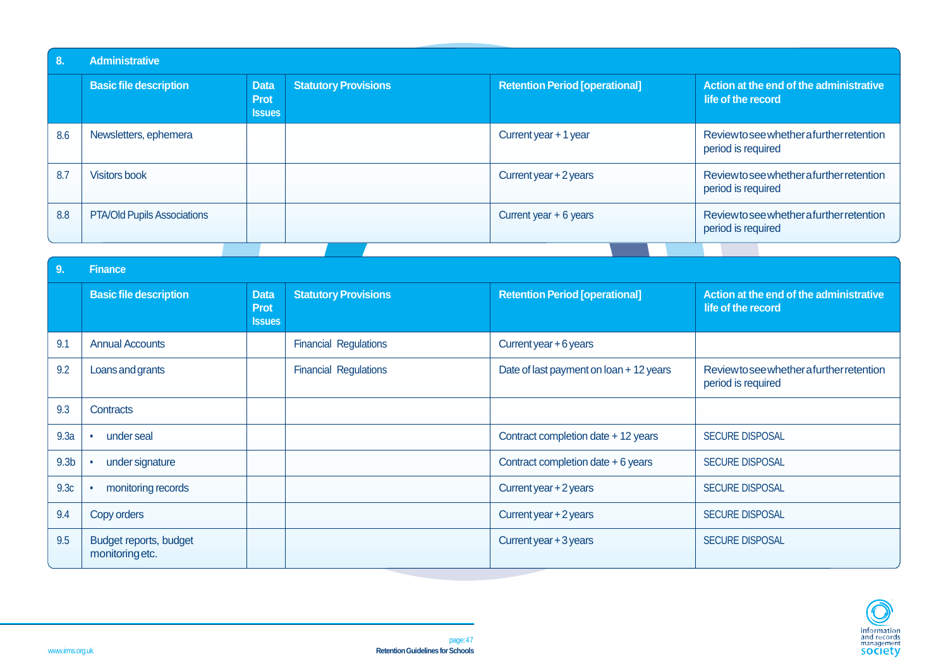| -8. | <b>Administrative</b>              |                                             |                             |                                       |                                                                 |  |  |
|-----|------------------------------------|---------------------------------------------|-----------------------------|---------------------------------------|-----------------------------------------------------------------|--|--|
|     | <b>Basic file description</b>      | <b>Data</b><br><b>Prot</b><br><b>Issues</b> | <b>Statutory Provisions</b> | <b>Retention Period [operational]</b> | Action at the end of the administrative<br>life of the record   |  |  |
| 8.6 | Newsletters, ephemera              |                                             |                             | Current year + 1 year                 | Review to see whether a further retention<br>period is required |  |  |
| 8.7 | <b>Visitors book</b>               |                                             |                             | Current year + 2 years                | Reviewtoseewhetherafurtherretention<br>period is required       |  |  |
| 8.8 | <b>PTA/Old Pupils Associations</b> |                                             |                             | Current year $+ 6$ years              | Reviewtoseewhetherafurtherretention<br>period is required       |  |  |

<span id="page-17-0"></span>

| 9.               | <b>Finance</b>                            |                                             |                              |                                         |                                                                 |  |
|------------------|-------------------------------------------|---------------------------------------------|------------------------------|-----------------------------------------|-----------------------------------------------------------------|--|
|                  | <b>Basic file description</b>             | <b>Data</b><br><b>Prot</b><br><b>Issues</b> | <b>Statutory Provisions</b>  | <b>Retention Period [operational]</b>   | Action at the end of the administrative<br>life of the record   |  |
| 9.1              | <b>Annual Accounts</b>                    |                                             | <b>Financial Regulations</b> | Current year + 6 years                  |                                                                 |  |
| 9.2              | Loans and grants                          |                                             | <b>Financial Regulations</b> | Date of last payment on loan + 12 years | Review to see whether a further retention<br>period is required |  |
| 9.3              | Contracts                                 |                                             |                              |                                         |                                                                 |  |
| 9.3a             | under seal                                |                                             |                              | Contract completion date + 12 years     | <b>SECURE DISPOSAL</b>                                          |  |
| 9.3 <sub>b</sub> | under signature                           |                                             |                              | Contract completion date + 6 years      | <b>SECURE DISPOSAL</b>                                          |  |
| 9.3 <sub>c</sub> | monitoring records                        |                                             |                              | Current year + 2 years                  | <b>SECURE DISPOSAL</b>                                          |  |
| 9.4              | Copy orders                               |                                             |                              | Current year + 2 years                  | <b>SECURE DISPOSAL</b>                                          |  |
| 9.5              | Budget reports, budget<br>monitoring etc. |                                             |                              | Current year + 3 years                  | <b>SECURE DISPOSAL</b>                                          |  |

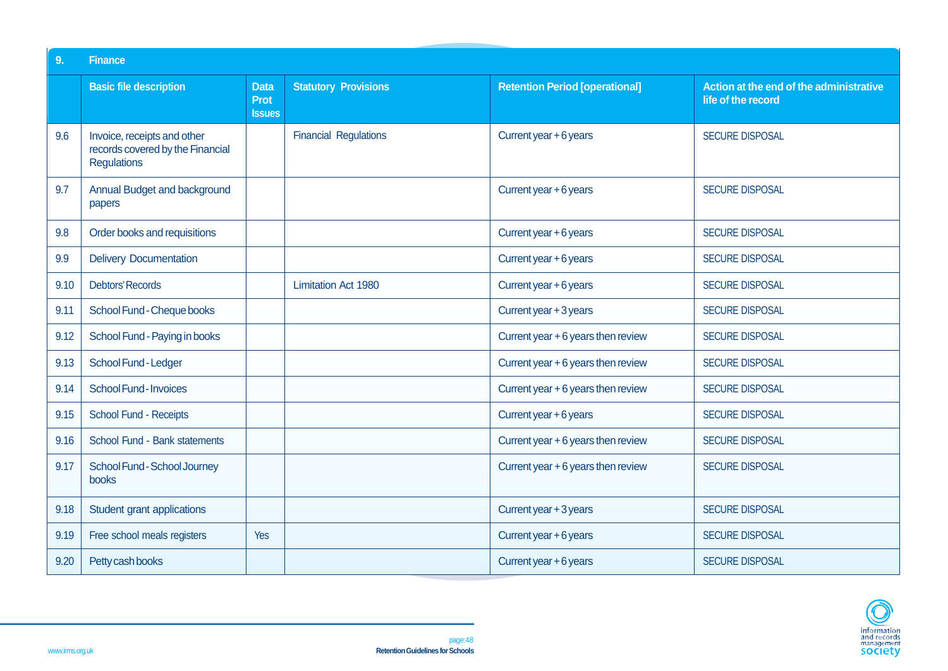<span id="page-18-0"></span>

| 9.   | <b>Finance</b>                                                                        |                                             |                              |                                       |                                                               |  |
|------|---------------------------------------------------------------------------------------|---------------------------------------------|------------------------------|---------------------------------------|---------------------------------------------------------------|--|
|      | <b>Basic file description</b>                                                         | <b>Data</b><br><b>Prot</b><br><b>Issues</b> | <b>Statutory Provisions</b>  | <b>Retention Period [operational]</b> | Action at the end of the administrative<br>life of the record |  |
| 9.6  | Invoice, receipts and other<br>records covered by the Financial<br><b>Regulations</b> |                                             | <b>Financial Regulations</b> | Current year + 6 years                | <b>SECURE DISPOSAL</b>                                        |  |
| 9.7  | Annual Budget and background<br>papers                                                |                                             |                              | Current year + 6 years                | <b>SECURE DISPOSAL</b>                                        |  |
| 9.8  | Order books and requisitions                                                          |                                             |                              | Current year + 6 years                | <b>SECURE DISPOSAL</b>                                        |  |
| 9.9  | <b>Delivery Documentation</b>                                                         |                                             |                              | Current year + 6 years                | <b>SECURE DISPOSAL</b>                                        |  |
| 9.10 | <b>Debtors' Records</b>                                                               |                                             | <b>Limitation Act 1980</b>   | Current year + 6 years                | <b>SECURE DISPOSAL</b>                                        |  |
| 9.11 | School Fund - Cheque books                                                            |                                             |                              | Current year + 3 years                | <b>SECURE DISPOSAL</b>                                        |  |
| 9.12 | School Fund - Paying in books                                                         |                                             |                              | Current year + 6 years then review    | <b>SECURE DISPOSAL</b>                                        |  |
| 9.13 | School Fund - Ledger                                                                  |                                             |                              | Current year + 6 years then review    | <b>SECURE DISPOSAL</b>                                        |  |
| 9.14 | <b>School Fund - Invoices</b>                                                         |                                             |                              | Current year + 6 years then review    | <b>SECURE DISPOSAL</b>                                        |  |
| 9.15 | School Fund - Receipts                                                                |                                             |                              | Current year + 6 years                | <b>SECURE DISPOSAL</b>                                        |  |
| 9.16 | School Fund - Bank statements                                                         |                                             |                              | Current year + 6 years then review    | <b>SECURE DISPOSAL</b>                                        |  |
| 9.17 | School Fund - School Journey<br>books                                                 |                                             |                              | Current year + 6 years then review    | <b>SECURE DISPOSAL</b>                                        |  |
| 9.18 | Student grant applications                                                            |                                             |                              | Current year + 3 years                | <b>SECURE DISPOSAL</b>                                        |  |
| 9.19 | Free school meals registers                                                           | Yes                                         |                              | Current year + 6 years                | <b>SECURE DISPOSAL</b>                                        |  |
| 9.20 | Petty cash books                                                                      |                                             |                              | Current year + 6 years                | <b>SECURE DISPOSAL</b>                                        |  |

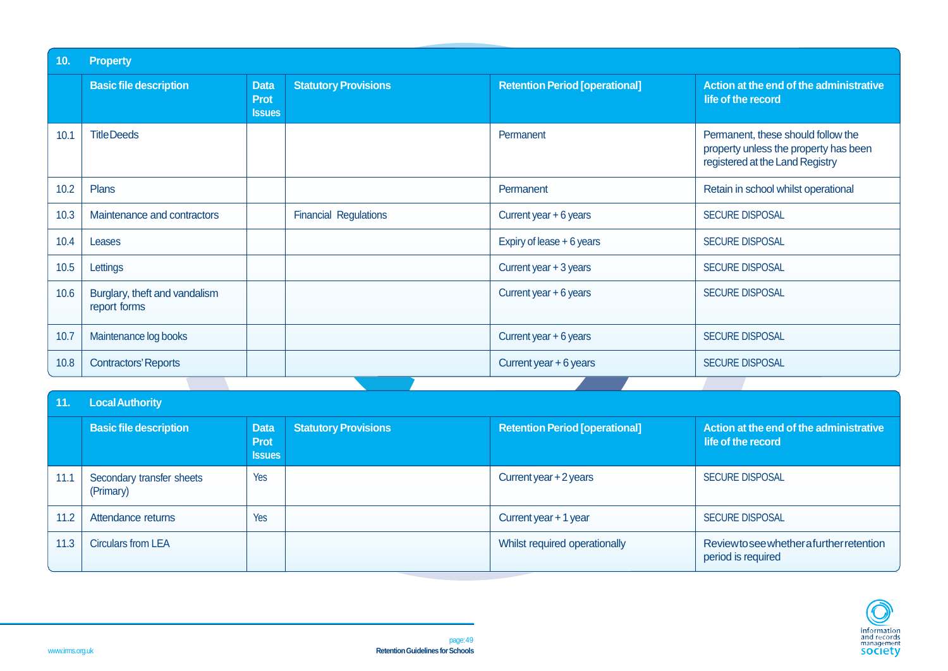| 10.  | <b>Property</b>                               |                                             |                              |                                       |                                                                                                                |  |
|------|-----------------------------------------------|---------------------------------------------|------------------------------|---------------------------------------|----------------------------------------------------------------------------------------------------------------|--|
|      | <b>Basic file description</b>                 | <b>Data</b><br><b>Prot</b><br><b>Issues</b> | <b>Statutory Provisions</b>  | <b>Retention Period [operational]</b> | Action at the end of the administrative<br>life of the record                                                  |  |
| 10.1 | <b>TitleDeeds</b>                             |                                             |                              | Permanent                             | Permanent, these should follow the<br>property unless the property has been<br>registered at the Land Registry |  |
| 10.2 | Plans                                         |                                             |                              | Permanent                             | Retain in school whilst operational                                                                            |  |
| 10.3 | Maintenance and contractors                   |                                             | <b>Financial Regulations</b> | Current year + 6 years                | <b>SECURE DISPOSAL</b>                                                                                         |  |
| 10.4 | Leases                                        |                                             |                              | Expiry of lease + 6 years             | <b>SECURE DISPOSAL</b>                                                                                         |  |
| 10.5 | Lettings                                      |                                             |                              | Current year + 3 years                | <b>SECURE DISPOSAL</b>                                                                                         |  |
| 10.6 | Burglary, theft and vandalism<br>report forms |                                             |                              | Current year + 6 years                | <b>SECURE DISPOSAL</b>                                                                                         |  |
| 10.7 | Maintenance log books                         |                                             |                              | Current year + 6 years                | <b>SECURE DISPOSAL</b>                                                                                         |  |
| 10.8 | <b>Contractors' Reports</b>                   |                                             |                              | Current year + 6 years                | <b>SECURE DISPOSAL</b>                                                                                         |  |
|      |                                               |                                             |                              |                                       |                                                                                                                |  |

### <span id="page-19-0"></span>**11. LocalAuthority**

|      | <b>Basic file description</b>          | <b>Data</b><br><b>Prot</b><br><b>Issues</b> | <b>Statutory Provisions</b> | <b>Retention Period [operational]</b> | Action at the end of the administrative<br>life of the record   |
|------|----------------------------------------|---------------------------------------------|-----------------------------|---------------------------------------|-----------------------------------------------------------------|
| 11.1 | Secondary transfer sheets<br>(Primary) | Yes                                         |                             | Current year + 2 years                | <b>SECURE DISPOSAL</b>                                          |
| 11.2 | Attendance returns                     | Yes                                         |                             | Current year + 1 year                 | <b>SECURE DISPOSAL</b>                                          |
| 11.3 | Circulars from LEA                     |                                             |                             | Whilst required operationally         | Review to see whether a further retention<br>period is required |

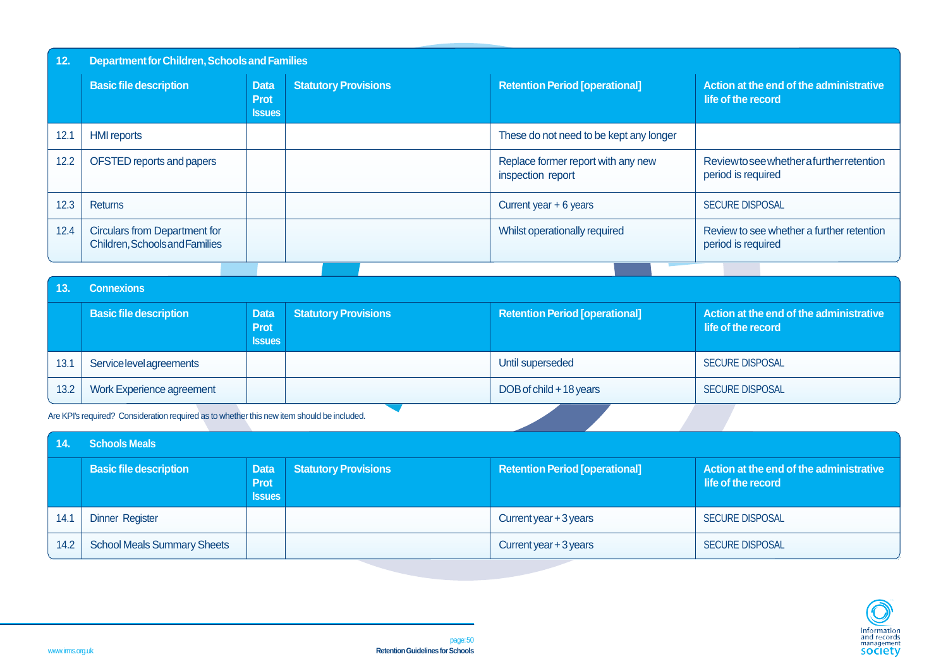<span id="page-20-0"></span>

| 12.  | <b>Department for Children, Schools and Families</b>                                       |                                             |                             |                                                         |                                                                 |  |  |  |  |
|------|--------------------------------------------------------------------------------------------|---------------------------------------------|-----------------------------|---------------------------------------------------------|-----------------------------------------------------------------|--|--|--|--|
|      | <b>Basic file description</b>                                                              | <b>Data</b><br><b>Prot</b><br><b>Issues</b> | <b>Statutory Provisions</b> | <b>Retention Period [operational]</b>                   | Action at the end of the administrative<br>life of the record   |  |  |  |  |
| 12.1 | <b>HMI</b> reports                                                                         |                                             |                             | These do not need to be kept any longer                 |                                                                 |  |  |  |  |
| 12.2 | OFSTED reports and papers                                                                  |                                             |                             | Replace former report with any new<br>inspection report | Review to see whether a further retention<br>period is required |  |  |  |  |
| 12.3 | <b>Returns</b>                                                                             |                                             |                             | Current year $+ 6$ years                                | <b>SECURE DISPOSAL</b>                                          |  |  |  |  |
| 12.4 | <b>Circulars from Department for</b><br>Children, Schools and Families                     |                                             |                             | Whilst operationally required                           | Review to see whether a further retention<br>period is required |  |  |  |  |
|      |                                                                                            |                                             |                             |                                                         |                                                                 |  |  |  |  |
| 13.  | <b>Connexions</b>                                                                          |                                             |                             |                                                         |                                                                 |  |  |  |  |
|      | <b>Basic file description</b>                                                              | <b>Data</b><br><b>Prot</b><br><b>Issues</b> | <b>Statutory Provisions</b> | <b>Retention Period [operational]</b>                   | Action at the end of the administrative<br>life of the record   |  |  |  |  |
| 13.1 | Servicelevelagreements                                                                     |                                             |                             | Until superseded                                        | <b>SECURE DISPOSAL</b>                                          |  |  |  |  |
| 13.2 | Work Experience agreement                                                                  |                                             |                             | DOB of child + 18 years                                 | <b>SECURE DISPOSAL</b>                                          |  |  |  |  |
|      | Are KPI's required? Consideration required as to whether this new item should be included. |                                             |                             |                                                         |                                                                 |  |  |  |  |
| 14.  | <b>Schools Meals</b>                                                                       |                                             |                             |                                                         |                                                                 |  |  |  |  |
|      | <b>Basic file description</b>                                                              | <b>Data</b><br><b>Prot</b><br><b>Issues</b> | <b>Statutory Provisions</b> | <b>Retention Period [operational]</b>                   | Action at the end of the administrative<br>life of the record   |  |  |  |  |
| 14.1 | <b>Dinner Register</b>                                                                     |                                             |                             | Current year + 3 years                                  | <b>SECURE DISPOSAL</b>                                          |  |  |  |  |
| 14.2 | <b>School Meals Summary Sheets</b>                                                         |                                             |                             | Current year + 3 years                                  | <b>SECURE DISPOSAL</b>                                          |  |  |  |  |

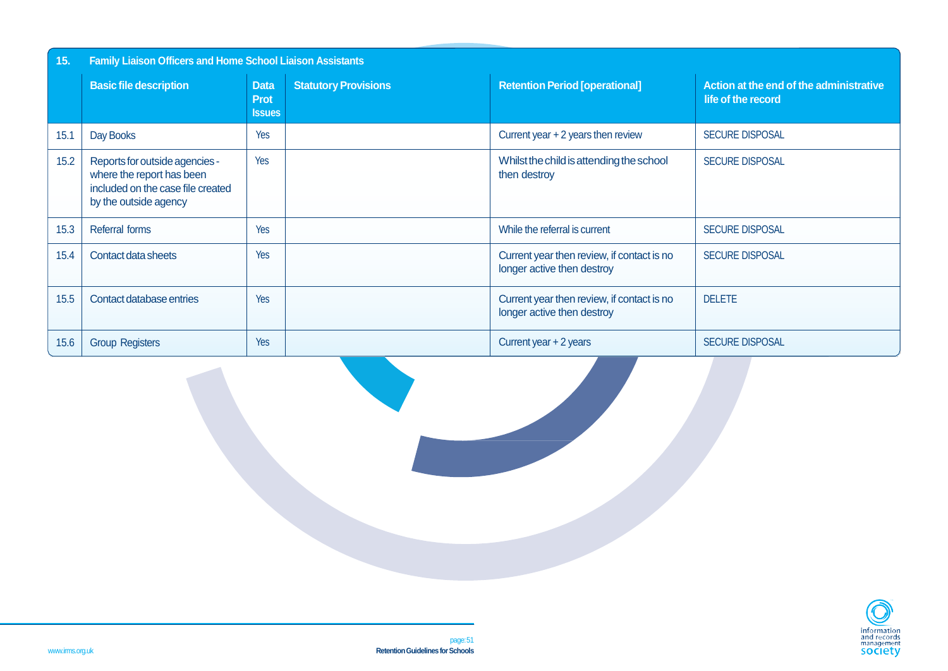<span id="page-21-0"></span>

| 15.  | <b>Family Liaison Officers and Home School Liaison Assistants</b>                                                         |                                             |                             |                                                                          |                                                               |  |  |  |  |  |
|------|---------------------------------------------------------------------------------------------------------------------------|---------------------------------------------|-----------------------------|--------------------------------------------------------------------------|---------------------------------------------------------------|--|--|--|--|--|
|      | <b>Basic file description</b>                                                                                             | <b>Data</b><br><b>Prot</b><br><b>Issues</b> | <b>Statutory Provisions</b> | <b>Retention Period [operational]</b>                                    | Action at the end of the administrative<br>life of the record |  |  |  |  |  |
| 15.1 | Day Books                                                                                                                 | Yes                                         |                             | Current year $+2$ years then review                                      | <b>SECURE DISPOSAL</b>                                        |  |  |  |  |  |
| 15.2 | Reports for outside agencies -<br>where the report has been<br>included on the case file created<br>by the outside agency | Yes                                         |                             | Whilst the child is attending the school<br>then destroy                 | <b>SECURE DISPOSAL</b>                                        |  |  |  |  |  |
| 15.3 | <b>Referral forms</b>                                                                                                     | Yes                                         |                             | While the referral is current                                            | <b>SECURE DISPOSAL</b>                                        |  |  |  |  |  |
| 15.4 | Contact data sheets                                                                                                       | Yes                                         |                             | Current year then review, if contact is no<br>longer active then destroy | <b>SECURE DISPOSAL</b>                                        |  |  |  |  |  |
| 15.5 | Contact database entries                                                                                                  | Yes                                         |                             | Current year then review, if contact is no<br>longer active then destroy | <b>DELETE</b>                                                 |  |  |  |  |  |
| 15.6 | <b>Group Registers</b>                                                                                                    | Yes                                         |                             | Current year + 2 years                                                   | <b>SECURE DISPOSAL</b>                                        |  |  |  |  |  |

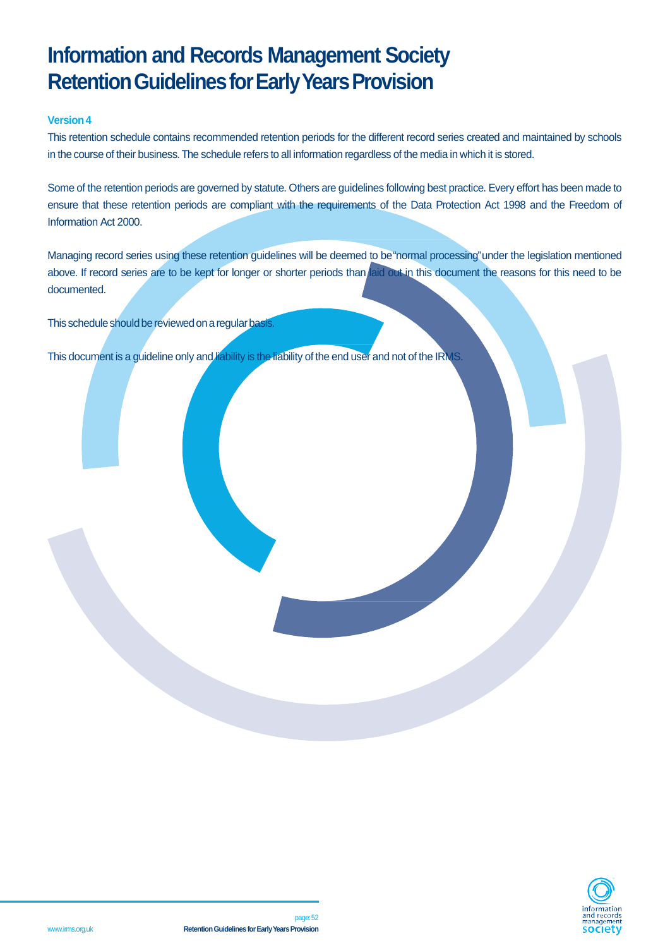### **Information and Records Management Society Retention Guidelines for Early Years Provision**

#### **Version4**

This retention schedule contains recommended retention periods for the different record series created and maintained by schools in the course of their business.The schedule refers to all information regardless of the media in which it is stored.

Some of the retention periods are governed by statute. Others are guidelines following best practice. Every effort has been made to ensure that these retention periods are compliant with the requirements of the Data Protection Act 1998 and the Freedom of Information Act 2000.

Managing record series using these retention guidelines will be deemed to be"normal processing"under the legislation mentioned above. If record series are to be kept for longer or shorter periods than aid out in this document the reasons for this need to be documented.

This schedule should be reviewed on a regular basis.

This document is a guideline only and liability is the liability of the end user and not of the IRMS.

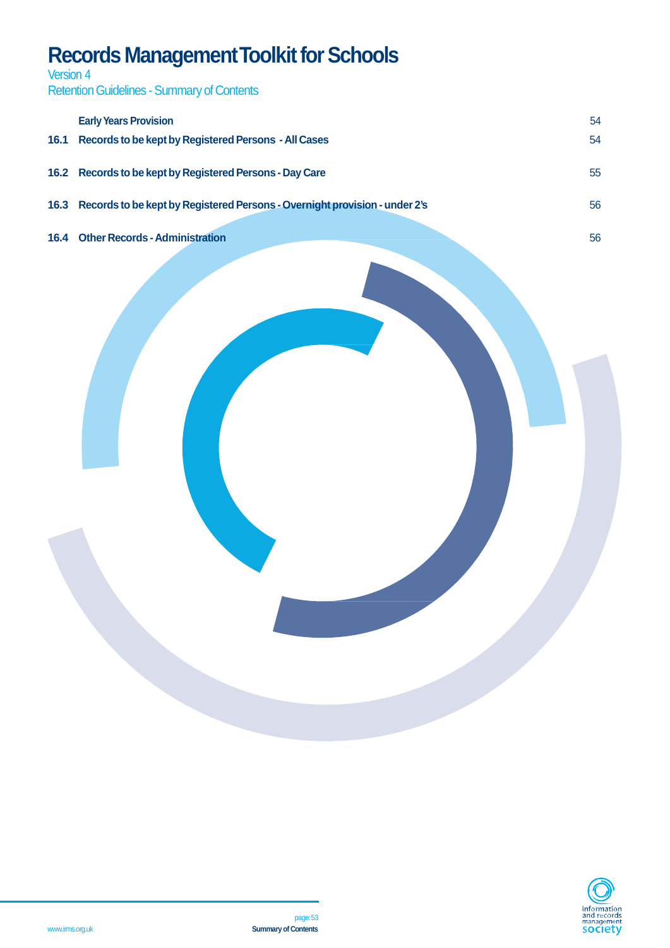# **Records Management Toolkit for Schools**

Version 4

Retention Guidelines - Summary of Contents

|      | <b>Early Years Provision</b>                                                    | 54 |
|------|---------------------------------------------------------------------------------|----|
|      | 16.1 Records to be kept by Registered Persons - All Cases                       | 54 |
|      | 16.2 Records to be kept by Registered Persons - Day Care                        | 55 |
|      | 16.3 Records to be kept by Registered Persons - Overnight provision - under 2's | 56 |
| 16.4 | <b>Other Records - Administration</b>                                           | 56 |
|      |                                                                                 |    |

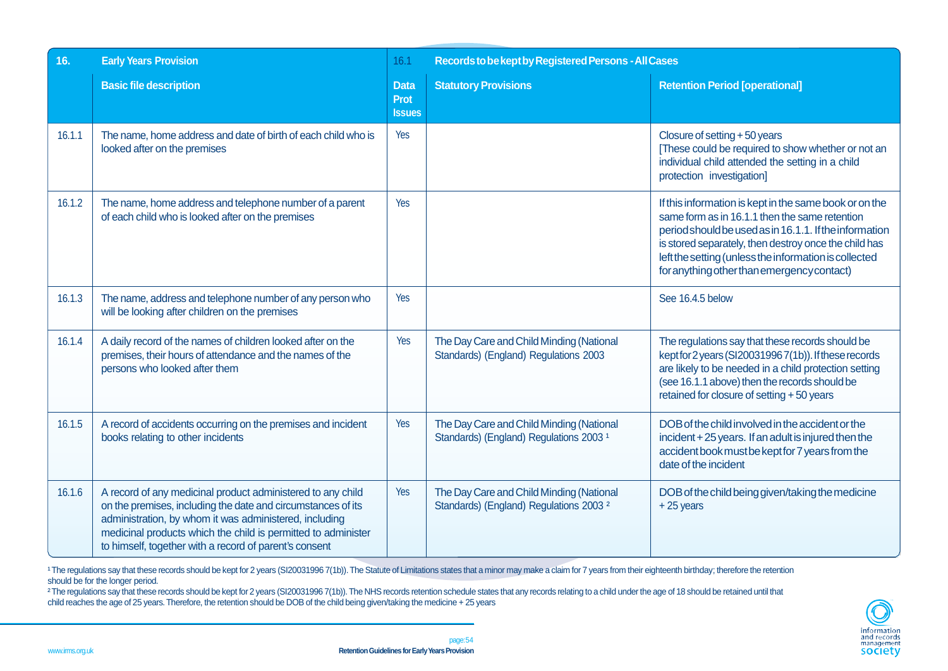| 16.    | <b>Early Years Provision</b>                                                                                                                                                                                                                                                                                     |                                             | Records to be kept by Registered Persons - All Cases                                           |                                                                                                                                                                                                                                                                                                                                    |  |
|--------|------------------------------------------------------------------------------------------------------------------------------------------------------------------------------------------------------------------------------------------------------------------------------------------------------------------|---------------------------------------------|------------------------------------------------------------------------------------------------|------------------------------------------------------------------------------------------------------------------------------------------------------------------------------------------------------------------------------------------------------------------------------------------------------------------------------------|--|
|        | <b>Basic file description</b>                                                                                                                                                                                                                                                                                    | <b>Data</b><br><b>Prot</b><br><b>Issues</b> | <b>Statutory Provisions</b>                                                                    | <b>Retention Period [operational]</b>                                                                                                                                                                                                                                                                                              |  |
| 16.1.1 | The name, home address and date of birth of each child who is<br>looked after on the premises                                                                                                                                                                                                                    | Yes                                         |                                                                                                | Closure of setting + 50 years<br>[These could be required to show whether or not an<br>individual child attended the setting in a child<br>protection investigation]                                                                                                                                                               |  |
| 16.1.2 | The name, home address and telephone number of a parent<br>of each child who is looked after on the premises                                                                                                                                                                                                     | Yes                                         |                                                                                                | If this information is kept in the same book or on the<br>same form as in 16.1.1 then the same retention<br>period should be used as in 16.1.1. If the information<br>is stored separately, then destroy once the child has<br>left the setting (unless the information is collected<br>for anything other than emergency contact) |  |
| 16.1.3 | The name, address and telephone number of any person who<br>will be looking after children on the premises                                                                                                                                                                                                       | Yes                                         |                                                                                                | See 16.4.5 below                                                                                                                                                                                                                                                                                                                   |  |
| 16.1.4 | A daily record of the names of children looked after on the<br>premises, their hours of attendance and the names of the<br>persons who looked after them                                                                                                                                                         | Yes                                         | The Day Care and Child Minding (National<br>Standards) (England) Regulations 2003              | The regulations say that these records should be<br>kept for 2 years (SI200319967(1b)). If these records<br>are likely to be needed in a child protection setting<br>(see 16.1.1 above) then the records should be<br>retained for closure of setting + 50 years                                                                   |  |
| 16.1.5 | A record of accidents occurring on the premises and incident<br>books relating to other incidents                                                                                                                                                                                                                | Yes                                         | The Day Care and Child Minding (National<br>Standards) (England) Regulations 2003 <sup>1</sup> | DOB of the child involved in the accident or the<br>incident + 25 years. If an adult is injured then the<br>accident book must be kept for 7 years from the<br>date of the incident                                                                                                                                                |  |
| 16.1.6 | A record of any medicinal product administered to any child<br>on the premises, including the date and circumstances of its<br>administration, by whom it was administered, including<br>medicinal products which the child is permitted to administer<br>to himself, together with a record of parent's consent | Yes                                         | The Day Care and Child Minding (National<br>Standards) (England) Regulations 2003 <sup>2</sup> | DOB of the child being given/taking the medicine<br>$+25$ years                                                                                                                                                                                                                                                                    |  |

<span id="page-24-0"></span><sup>1</sup>The regulations say that these records should be kept for 2 years (SI20031996 7(1b)). The Statute of Limitations states that a minor may make a claim for 7 years from their eighteenth birthday; therefore the retention should be for the longer period.

<sup>2</sup>The regulations say that these records should be kept for 2 years (SI20031996 7(1b)). The NHS records retention schedule states that any records relating to a child under the age of 18 should be retained until that child reaches the age of 25 years.Therefore, the retention should be DOB of the child being given/taking the medicine + 25 years

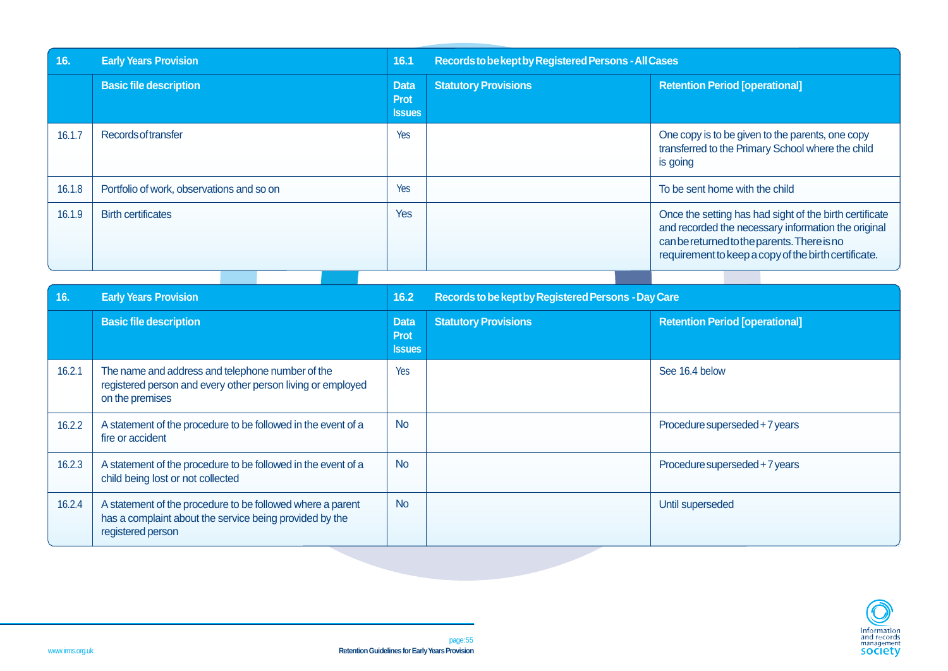| 16.    | <b>Early Years Provision</b>              |                                             | Records to be kept by Registered Persons - All Cases |                                                                                                                                                                                                                       |
|--------|-------------------------------------------|---------------------------------------------|------------------------------------------------------|-----------------------------------------------------------------------------------------------------------------------------------------------------------------------------------------------------------------------|
|        | <b>Basic file description</b>             | <b>Data</b><br><b>Prot</b><br><b>Issues</b> | <b>Statutory Provisions</b>                          | <b>Retention Period [operational]</b>                                                                                                                                                                                 |
| 16.1.7 | Records of transfer                       | Yes                                         |                                                      | One copy is to be given to the parents, one copy<br>transferred to the Primary School where the child<br>is going                                                                                                     |
| 16.1.8 | Portfolio of work, observations and so on | Yes                                         |                                                      | To be sent home with the child                                                                                                                                                                                        |
| 16.1.9 | <b>Birth certificates</b>                 | <b>Yes</b>                                  |                                                      | Once the setting has had sight of the birth certificate<br>and recorded the necessary information the original<br>can be returned to the parents. There is no<br>requirement to keep a copy of the birth certificate. |

<span id="page-25-0"></span>

| 16.    | <b>Early Years Provision</b>                                                                                                               |                                             | Records to be kept by Registered Persons - Day Care |                                       |  |
|--------|--------------------------------------------------------------------------------------------------------------------------------------------|---------------------------------------------|-----------------------------------------------------|---------------------------------------|--|
|        | <b>Basic file description</b>                                                                                                              | <b>Data</b><br><b>Prot</b><br><b>Issues</b> | <b>Statutory Provisions</b>                         | <b>Retention Period [operational]</b> |  |
| 16.2.1 | The name and address and telephone number of the<br>registered person and every other person living or employed<br>on the premises         | Yes                                         |                                                     | See 16.4 below                        |  |
| 16.2.2 | A statement of the procedure to be followed in the event of a<br>fire or accident                                                          | <b>No</b>                                   |                                                     | Procedure superseded + 7 years        |  |
| 16.2.3 | A statement of the procedure to be followed in the event of a<br>child being lost or not collected                                         | <b>No</b>                                   |                                                     | Procedure superseded + 7 years        |  |
| 16.2.4 | A statement of the procedure to be followed where a parent<br>has a complaint about the service being provided by the<br>registered person | <b>No</b>                                   |                                                     | Until superseded                      |  |
|        |                                                                                                                                            |                                             |                                                     |                                       |  |

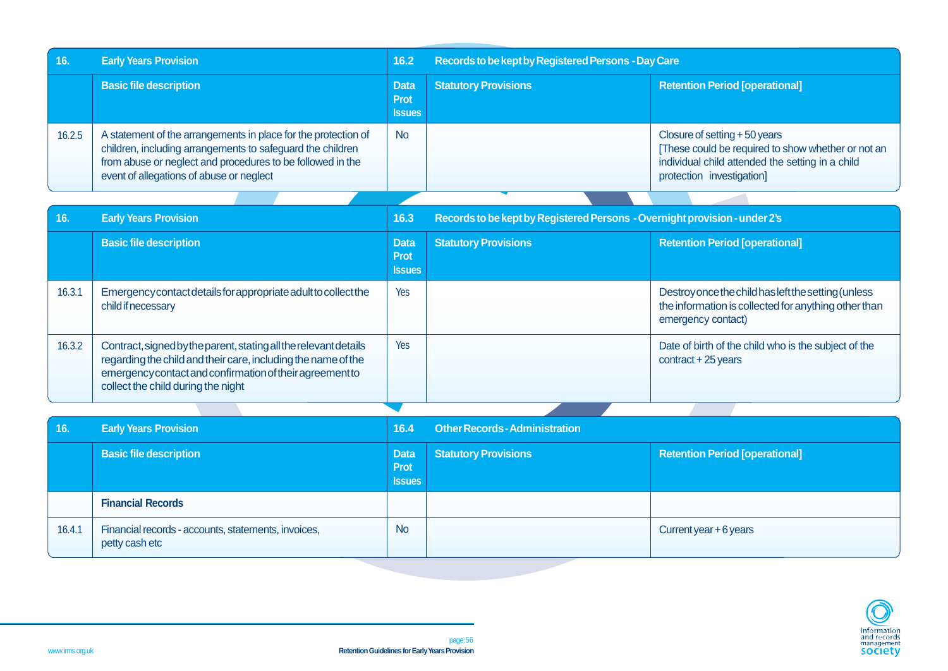<span id="page-26-0"></span>

| 16.    | <b>Early Years Provision</b>                                                                                                                                                                                                           |                                             | Records to be kept by Registered Persons - Day Care                        |                                                                                                                                                                      |
|--------|----------------------------------------------------------------------------------------------------------------------------------------------------------------------------------------------------------------------------------------|---------------------------------------------|----------------------------------------------------------------------------|----------------------------------------------------------------------------------------------------------------------------------------------------------------------|
|        | <b>Basic file description</b>                                                                                                                                                                                                          | <b>Data</b><br><b>Prot</b><br><b>Issues</b> | <b>Statutory Provisions</b>                                                | <b>Retention Period [operational]</b>                                                                                                                                |
| 16.2.5 | A statement of the arrangements in place for the protection of<br>children, including arrangements to safeguard the children<br>from abuse or neglect and procedures to be followed in the<br>event of allegations of abuse or neglect | <b>No</b>                                   |                                                                            | Closure of setting + 50 years<br>[These could be required to show whether or not an<br>individual child attended the setting in a child<br>protection investigation] |
|        |                                                                                                                                                                                                                                        |                                             |                                                                            |                                                                                                                                                                      |
| 16.    | <b>Early Years Provision</b>                                                                                                                                                                                                           | 16.3                                        | Records to be kept by Registered Persons - Overnight provision - under 2's |                                                                                                                                                                      |
|        | <b>Basic file description</b>                                                                                                                                                                                                          | <b>Data</b><br><b>Prot</b><br><b>Issues</b> | <b>Statutory Provisions</b>                                                | <b>Retention Period [operational]</b>                                                                                                                                |
| 16.3.1 | Emergency contact details for appropriate adult to collect the<br>child if necessary                                                                                                                                                   | Yes                                         |                                                                            | Destroy once the child has left the setting (unless<br>the information is collected for anything other than<br>emergency contact)                                    |
| 16.3.2 | Contract, signed by the parent, stating all the relevant details<br>regarding the child and their care, including the name of the<br>emergency contact and confirmation of their agreement to<br>collect the child during the night    | Yes                                         |                                                                            | Date of birth of the child who is the subject of the<br>$contract + 25 years$                                                                                        |
|        |                                                                                                                                                                                                                                        |                                             |                                                                            |                                                                                                                                                                      |
| 16.    | <b>Early Years Provision</b>                                                                                                                                                                                                           | 16.4                                        | <b>Other Records - Administration</b>                                      |                                                                                                                                                                      |
|        | <b>Basic file description</b>                                                                                                                                                                                                          | <b>Data</b><br><b>Prot</b><br><b>Issues</b> | <b>Statutory Provisions</b>                                                | <b>Retention Period [operational]</b>                                                                                                                                |
|        | <b>Financial Records</b>                                                                                                                                                                                                               |                                             |                                                                            |                                                                                                                                                                      |
| 16.4.1 | Financial records - accounts, statements, invoices,<br>petty cash etc                                                                                                                                                                  | <b>No</b>                                   |                                                                            | Current year + 6 years                                                                                                                                               |

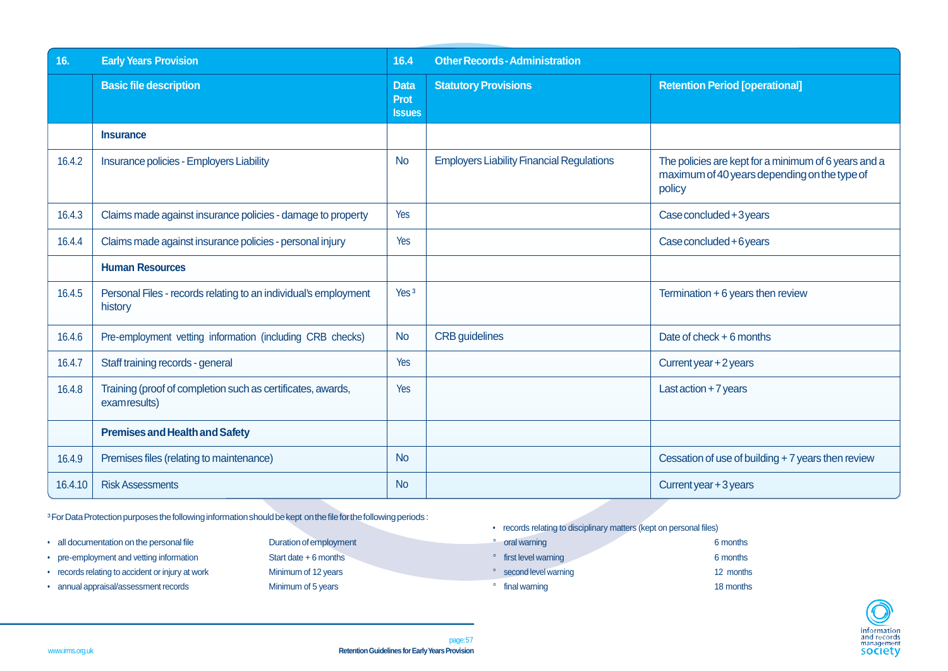| 16.     | <b>Early Years Provision</b>                                                |                                             | <b>Other Records - Administration</b>            |                                                                                                                |  |
|---------|-----------------------------------------------------------------------------|---------------------------------------------|--------------------------------------------------|----------------------------------------------------------------------------------------------------------------|--|
|         | <b>Basic file description</b>                                               | <b>Data</b><br><b>Prot</b><br><b>Issues</b> | <b>Statutory Provisions</b>                      | <b>Retention Period [operational]</b>                                                                          |  |
|         | <b>Insurance</b>                                                            |                                             |                                                  |                                                                                                                |  |
| 16.4.2  | Insurance policies - Employers Liability                                    | <b>No</b>                                   | <b>Employers Liability Financial Regulations</b> | The policies are kept for a minimum of 6 years and a<br>maximum of 40 years depending on the type of<br>policy |  |
| 16.4.3  | Claims made against insurance policies - damage to property                 | Yes                                         |                                                  | Case concluded + 3 years                                                                                       |  |
| 16.4.4  | Claims made against insurance policies - personal injury                    | Yes                                         |                                                  | Case concluded + 6 years                                                                                       |  |
|         | <b>Human Resources</b>                                                      |                                             |                                                  |                                                                                                                |  |
| 16.4.5  | Personal Files - records relating to an individual's employment<br>history  | Yes <sup>3</sup>                            |                                                  | Termination $+6$ years then review                                                                             |  |
| 16.4.6  | Pre-employment vetting information (including CRB checks)                   | <b>No</b>                                   | <b>CRB</b> guidelines                            | Date of check $+6$ months                                                                                      |  |
| 16.4.7  | Staff training records - general                                            | Yes                                         |                                                  | Current year + 2 years                                                                                         |  |
| 16.4.8  | Training (proof of completion such as certificates, awards,<br>examresults) | Yes                                         |                                                  | Last $action + 7$ years                                                                                        |  |
|         | <b>Premises and Health and Safety</b>                                       |                                             |                                                  |                                                                                                                |  |
| 16.4.9  | Premises files (relating to maintenance)                                    | <b>No</b>                                   |                                                  | Cessation of use of building + 7 years then review                                                             |  |
| 16.4.10 | <b>Risk Assessments</b>                                                     | <b>No</b>                                   |                                                  | Current year + 3 years                                                                                         |  |

<sup>3</sup>For Data Protection purposes the following information should be kept on the file for the following periods :

• all documentation on the personal file **Duration of employment** • pre-employment and vetting information Start date + 6 months • records relating to accident or injury at work Minimum of 12 years • annual appraisal/assessment records Minimum of 5 years • records relating to disciplinary matters (kept on personal files) ° oral warning 6 months ° first level warning 6 months ° second level warning 12 months ° final warning 18 months

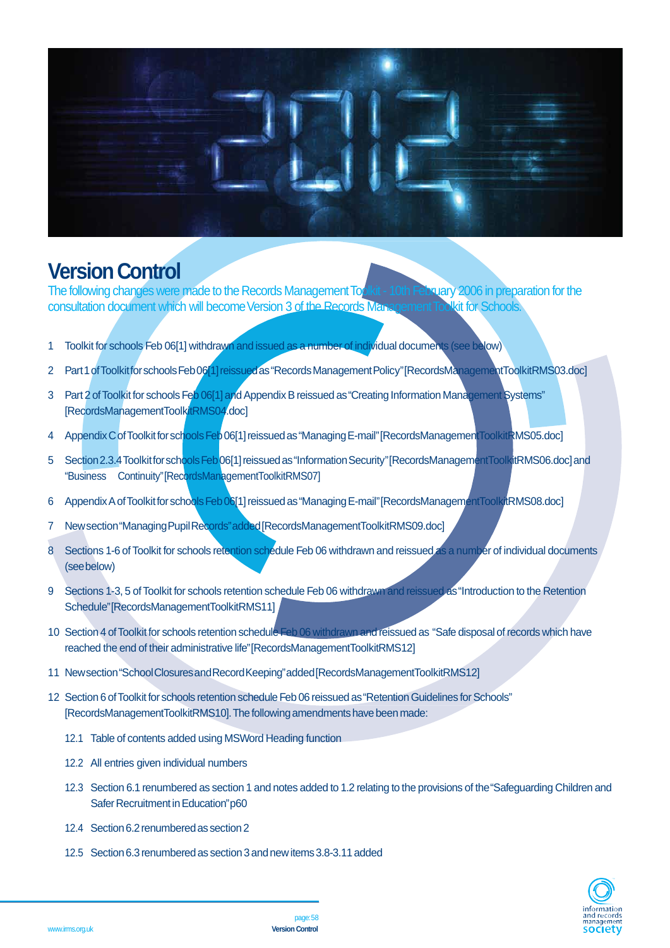

### **Version Control**

The following changes were made to the Records Management Toolkit - 10th February 2006 in preparation for the consultation document which will become Version 3 of the Records Management Toolkit for Schools.

- 1 Toolkit for schools Feb 06[1] withdrawn and issued as a number of individual documents (see below)
- 2 Part 1 of Toolkit for schools Feb 06<sup>[1]</sup> reissued as "Records Management Policy"[RecordsManagementToolkitRMS03.doc]
- 3 Part 2 of Toolkit for schools Feb 06[1] and Appendix B reissued as "Creating Information Management Systems" [RecordsManagementToolkitRMS04.doc]
- 4 Appendix C of Toolkit for schools Feb 06[1] reissued as "Managing E-mail" [RecordsManagement ToolkitRMS05.doc]
- 5 Section 2.3.4 Toolkit for schools Feb 06[1] reissued as "Information Security" [RecordsManagementToolk tRMS06.doc] and "Business Continuity"[RecordsManagementToolkitRMS07]
- 6 Appendix A of Toolkit for schools Feb 06[1] reissued as "Managing E-mail" [RecordsManagement ToolkitRMS08.doc]
- 7 Newsection "Managing Pupil Records" added [RecordsManagement ToolkitRMS09.doc]
- 8 Sections 1-6 of Toolkit for schools retention schedule Feb 06 withdrawn and reissued as a number of individual documents (seebelow)
- 9 Sections 1-3, 5 ofToolkit for schools retention schedule Feb 06 withdrawn and reissued as"Introduction to the Retention Schedule"[RecordsManagementToolkitRMS11]
- 10 Section 4 ofToolkit for schools retention schedule Feb 06 withdrawn and reissued as "Safe disposal ofrecords which have reached the end of their administrative life"[RecordsManagementToolkitRMS12]
- 11 Newsection"SchoolClosuresandRecordKeeping"added[RecordsManagementToolkitRMS12]
- 12 Section 6 of Toolkit for schools retention schedule Feb 06 reissued as "Retention Guidelines for Schools" [RecordsManagementToolkitRMS10]. The following amendments have been made:
	- 12.1 Table of contents added using MSWord Heading function
	- 12.2 All entries given individual numbers
	- 12.3 Section 6.1 renumbered as section 1 and notes added to 1.2 relating to the provisions of the"Safeguarding Children and Safer Recruitment in Education"p60
	- 12.4 Section 6.2 renumbered as section 2
	- 12.5 Section6.3renumberedas section3andnewitems3.8-3.11added



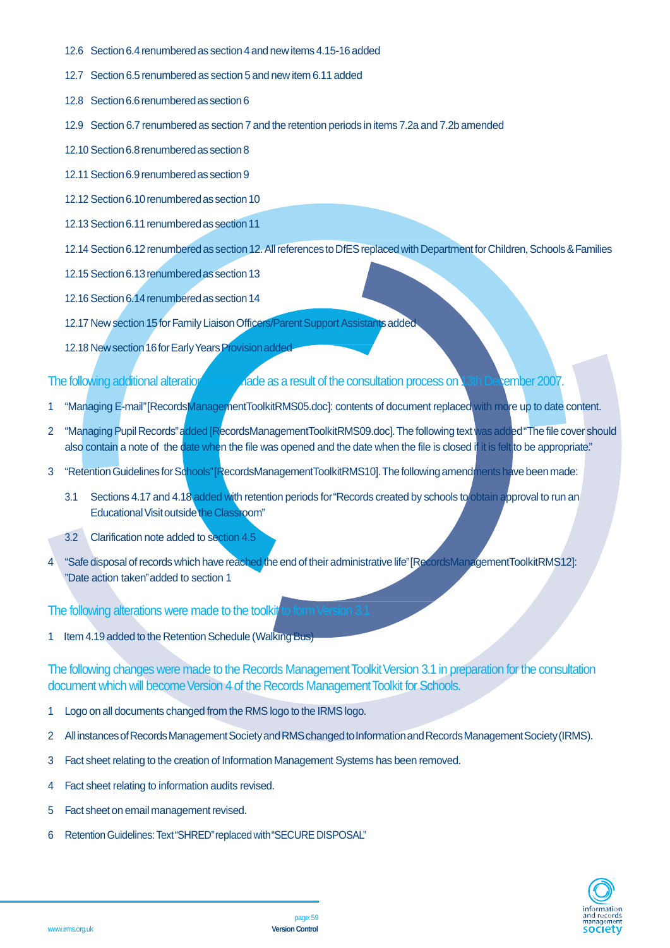- 12.6 Section 6.4 renumbered as section 4 and new items 4.15-16 added
- 12.7 Section 6.5 renumbered as section 5 and new item 6.11 added
- 12.8 Section 6.6 renumbered as section 6
- 12.9 Section 6.7 renumbered as section 7 and the retention periods in items 7.2a and 7.2b amended
- 12.10 Section 6.8 renumbered as section 8
- 12.11 Section 6.9 renumbered as section 9
- 12.12 Section 6.10 renumbered as section 10
- 12.13 Section 6.11 renumbered as section 11
- 12.14 Section 6.12 renumbered as section 12. All references to DfES replaced with Department for Children, Schools & Families
- 12.15 Section 6.13 renumbered as section 13
- 12.16 Section 6.14 renumbered as section 14
- 12.17 New section 15 for Family Liaison Officers/Parent Support Assistants added
- 12.18 New section 16 for Early Years Provision added

#### The following additional alteration swere made as a result of the consultation process on 13th December 2007.

- 1 "Managing E-mail"[RecordsManagementToolkitRMS05.doc]: contents of document replaced with more up to date content.
- 2 "Managing Pupil Records" added [RecordsManagementToolkitRMS09.doc]. The following text was added "The file cover should also contain a note of the date when the file was opened and the date when the file is closed if it is felt to be appropriate."
- 3 "Retention Guidelines for Schools"[RecordsManagementToolkitRMS10]. The following amendments have been made:
	- 3.1 Sections 4.17 and 4.18 added with retention periods for "Records created by schools to obtain approval to run an Educational Visit outside the Classroom"
	- 3.2 Clarification note added to section 4.5
- 4 "Safe disposal of records which have reached the end of their administrative life"[RecordsManagementToolkitRMS12]: "Date action taken"added to section 1

The following alterations were made to the toolkit to

1 Item 4.19 added to the Retention Schedule (Walking Bus)

The following changes were made to the Records Management Toolkit Version 3.1 in preparation for the consultation document which will become Version 4 of the Records Management Toolkit for Schools.

- 1 Logo on all documents changed from the RMSlogo to the IRMSlogo.
- 2 All instances of Records Management Society and RMS changed to Information and Records Management Society (IRMS).
- 3 Fact sheet relating to the creation of Information Management Systems has been removed.
- 4 Fact sheet relating to information audits revised.
- 5 Fact sheet on email management revised.
- 6 RetentionGuidelines:Text"SHRED"replaced with"SECURE DISPOSAL"

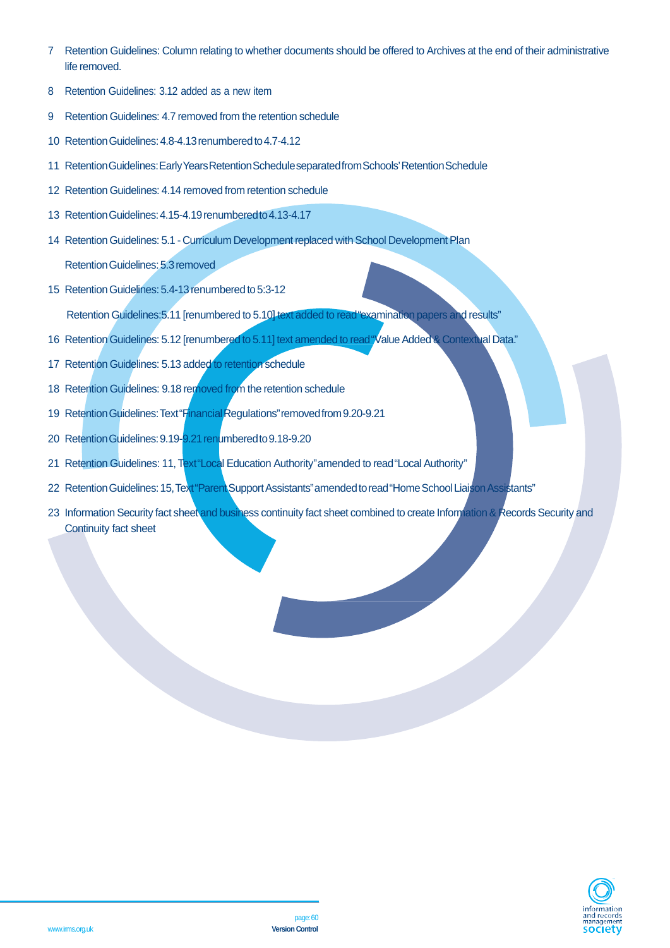- 7 Retention Guidelines: Column relating to whether documents should be offered to Archives at the end of their administrative life removed.
- 8 Retention Guidelines: 3.12 added as a new item
- 9 Retention Guidelines: 4.7 removed from the retention schedule
- 10 RetentionGuidelines:4.8-4.13renumberedto4.7-4.12
- 11 RetentionGuidelines:EarlyYearsRetentionScheduleseparatedfromSchools'RetentionSchedule
- 12 Retention Guidelines: 4.14 removed from retention schedule
- 13 RetentionGuidelines:4.15-4.19renumberedto4.13-4.17
- 14 Retention Guidelines: 5.1 Curriculum Development replaced with School Development Plan Retention Guidelines: 5.3 removed
- 15 Retention Guidelines: 5.4-13 renumbered to 5:3-12
- Retention Guidelines: 5.11 [renumbered to 5.10] text added to read "examination papers and results"
- 16 Retention Guidelines: 5.12 [renumbered to 5.11] text amended to read "Value Added & Contextual Data."
- 17 Retention Guidelines: 5.13 added to retention schedule
- 18 Retention Guidelines: 9.18 removed from the retention schedule
- 19 Retention Guidelines: Text "Financial Regulations" removed from 9.20-9.21
- 20 Retention Guidelines: 9.19-9.21 renumbered to 9.18-9.20
- 21 Retention Guidelines: 11, Text "Local Education Authority" amended to read "Local Authority"
- 22 Retention Guidelines: 15, Text "Parent Support Assistants" amended to read "Home School Liaison Assistants"
- 23 Information Security fact sheet and business continuity fact sheet combined to create Information & Records Security and Continuity fact sheet